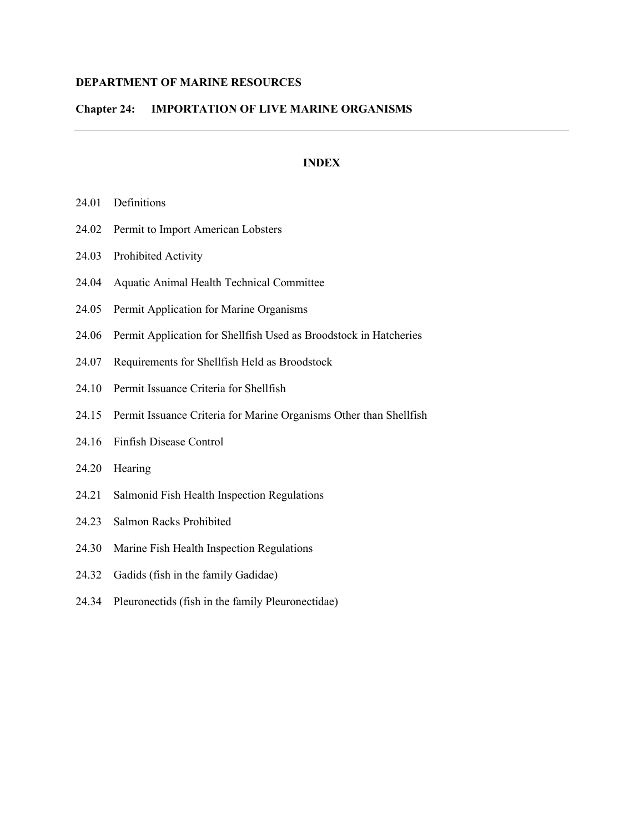# **DEPARTMENT OF MARINE RESOURCES**

# **Chapter 24: IMPORTATION OF LIVE MARINE ORGANISMS**

# **INDEX**

- 24.01 Definitions
- 24.02 Permit to Import American Lobsters
- 24.03 Prohibited Activity
- 24.04 Aquatic Animal Health Technical Committee
- 24.05 Permit Application for Marine Organisms
- 24.06 Permit Application for Shellfish Used as Broodstock in Hatcheries
- 24.07 Requirements for Shellfish Held as Broodstock
- 24.10 Permit Issuance Criteria for Shellfish
- 24.15 Permit Issuance Criteria for Marine Organisms Other than Shellfish
- 24.16 Finfish Disease Control
- 24.20 Hearing
- 24.21 Salmonid Fish Health Inspection Regulations
- 24.23 Salmon Racks Prohibited
- 24.30 Marine Fish Health Inspection Regulations
- 24.32 Gadids (fish in the family Gadidae)
- 24.34 Pleuronectids (fish in the family Pleuronectidae)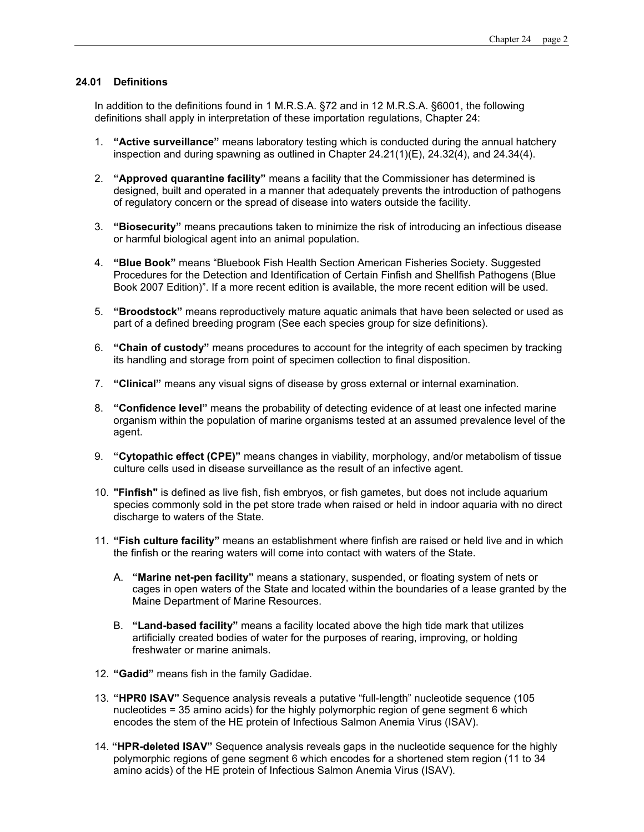# **24.01 Definitions**

In addition to the definitions found in 1 M.R.S.A. §72 and in 12 M.R.S.A. §6001, the following definitions shall apply in interpretation of these importation regulations, Chapter 24:

- 1. **"Active surveillance"** means laboratory testing which is conducted during the annual hatchery inspection and during spawning as outlined in Chapter  $24.21(1)(E)$ ,  $24.32(4)$ , and  $24.34(4)$ .
- 2. **"Approved quarantine facility"** means a facility that the Commissioner has determined is designed, built and operated in a manner that adequately prevents the introduction of pathogens of regulatory concern or the spread of disease into waters outside the facility.
- 3. **"Biosecurity"** means precautions taken to minimize the risk of introducing an infectious disease or harmful biological agent into an animal population.
- 4. **"Blue Book"** means "Bluebook Fish Health Section American Fisheries Society. Suggested Procedures for the Detection and Identification of Certain Finfish and Shellfish Pathogens (Blue Book 2007 Edition)". If a more recent edition is available, the more recent edition will be used.
- 5. **"Broodstock"** means reproductively mature aquatic animals that have been selected or used as part of a defined breeding program (See each species group for size definitions).
- 6. **"Chain of custody"** means procedures to account for the integrity of each specimen by tracking its handling and storage from point of specimen collection to final disposition.
- 7. **"Clinical"** means any visual signs of disease by gross external or internal examination.
- 8. **"Confidence level"** means the probability of detecting evidence of at least one infected marine organism within the population of marine organisms tested at an assumed prevalence level of the agent.
- 9. **"Cytopathic effect (CPE)"** means changes in viability, morphology, and/or metabolism of tissue culture cells used in disease surveillance as the result of an infective agent.
- 10. **"Finfish"** is defined as live fish, fish embryos, or fish gametes, but does not include aquarium species commonly sold in the pet store trade when raised or held in indoor aquaria with no direct discharge to waters of the State.
- 11. **"Fish culture facility"** means an establishment where finfish are raised or held live and in which the finfish or the rearing waters will come into contact with waters of the State.
	- A. **"Marine net-pen facility"** means a stationary, suspended, or floating system of nets or cages in open waters of the State and located within the boundaries of a lease granted by the Maine Department of Marine Resources.
	- B. **"Land-based facility"** means a facility located above the high tide mark that utilizes artificially created bodies of water for the purposes of rearing, improving, or holding freshwater or marine animals.
- 12. **"Gadid"** means fish in the family Gadidae.
- 13. **"HPR0 ISAV"** Sequence analysis reveals a putative "full-length" nucleotide sequence (105 nucleotides = 35 amino acids) for the highly polymorphic region of gene segment 6 which encodes the stem of the HE protein of Infectious Salmon Anemia Virus (ISAV).
- 14. **"HPR-deleted ISAV"** Sequence analysis reveals gaps in the nucleotide sequence for the highly polymorphic regions of gene segment 6 which encodes for a shortened stem region (11 to 34 amino acids) of the HE protein of Infectious Salmon Anemia Virus (ISAV).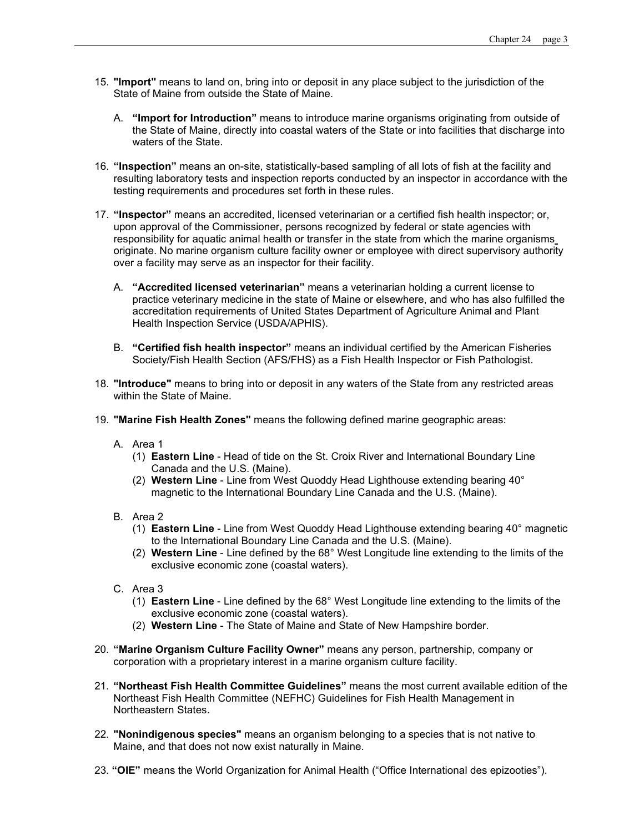- 15. **"Import"** means to land on, bring into or deposit in any place subject to the jurisdiction of the State of Maine from outside the State of Maine.
	- A. **"Import for Introduction"** means to introduce marine organisms originating from outside of the State of Maine, directly into coastal waters of the State or into facilities that discharge into waters of the State.
- 16. **"Inspection"** means an on-site, statistically-based sampling of all lots of fish at the facility and resulting laboratory tests and inspection reports conducted by an inspector in accordance with the testing requirements and procedures set forth in these rules.
- 17. **"Inspector"** means an accredited, licensed veterinarian or a certified fish health inspector; or, upon approval of the Commissioner, persons recognized by federal or state agencies with responsibility for aquatic animal health or transfer in the state from which the marine organisms originate. No marine organism culture facility owner or employee with direct supervisory authority over a facility may serve as an inspector for their facility.
	- A. **"Accredited licensed veterinarian"** means a veterinarian holding a current license to practice veterinary medicine in the state of Maine or elsewhere, and who has also fulfilled the accreditation requirements of United States Department of Agriculture Animal and Plant Health Inspection Service (USDA/APHIS).
	- B. **"Certified fish health inspector"** means an individual certified by the American Fisheries Society/Fish Health Section (AFS/FHS) as a Fish Health Inspector or Fish Pathologist.
- 18. **"Introduce"** means to bring into or deposit in any waters of the State from any restricted areas within the State of Maine.
- 19. **"Marine Fish Health Zones"** means the following defined marine geographic areas:
	- A. Area 1
		- (1) **Eastern Line** Head of tide on the St. Croix River and International Boundary Line Canada and the U.S. (Maine).
		- (2) **Western Line** Line from West Quoddy Head Lighthouse extending bearing 40° magnetic to the International Boundary Line Canada and the U.S. (Maine).
	- B. Area 2
		- (1) **Eastern Line** Line from West Quoddy Head Lighthouse extending bearing 40° magnetic to the International Boundary Line Canada and the U.S. (Maine).
		- (2) **Western Line** Line defined by the 68° West Longitude line extending to the limits of the exclusive economic zone (coastal waters).
	- C. Area 3
		- (1) **Eastern Line** Line defined by the 68° West Longitude line extending to the limits of the exclusive economic zone (coastal waters).
		- (2) **Western Line** The State of Maine and State of New Hampshire border.
- 20. **"Marine Organism Culture Facility Owner"** means any person, partnership, company or corporation with a proprietary interest in a marine organism culture facility.
- 21. **"Northeast Fish Health Committee Guidelines"** means the most current available edition of the Northeast Fish Health Committee (NEFHC) Guidelines for Fish Health Management in Northeastern States.
- 22. **"Nonindigenous species"** means an organism belonging to a species that is not native to Maine, and that does not now exist naturally in Maine.
- 23. **"OIE"** means the World Organization for Animal Health ("Office International des epizooties").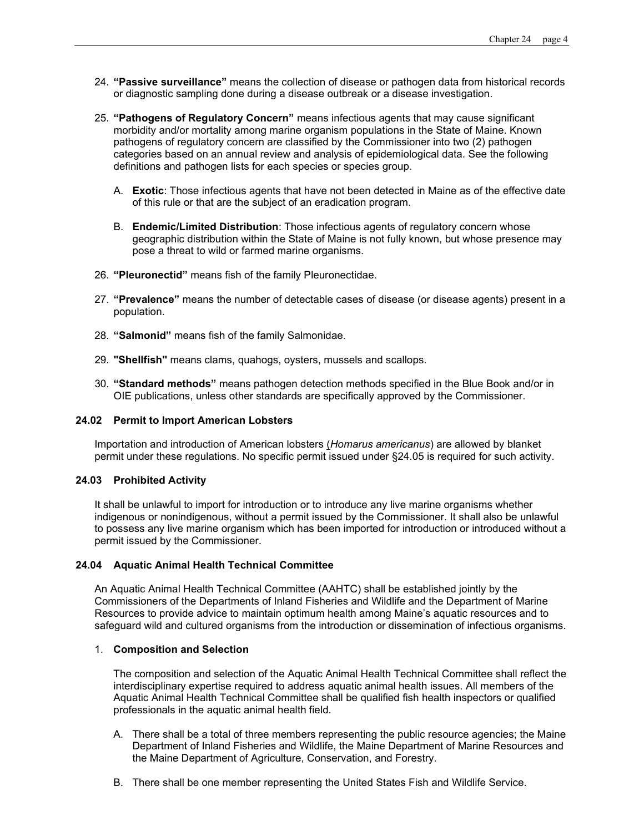- 24. **"Passive surveillance"** means the collection of disease or pathogen data from historical records or diagnostic sampling done during a disease outbreak or a disease investigation.
- 25. **"Pathogens of Regulatory Concern"** means infectious agents that may cause significant morbidity and/or mortality among marine organism populations in the State of Maine. Known pathogens of regulatory concern are classified by the Commissioner into two (2) pathogen categories based on an annual review and analysis of epidemiological data. See the following definitions and pathogen lists for each species or species group.
	- A. **Exotic**: Those infectious agents that have not been detected in Maine as of the effective date of this rule or that are the subject of an eradication program.
	- B. **Endemic/Limited Distribution**: Those infectious agents of regulatory concern whose geographic distribution within the State of Maine is not fully known, but whose presence may pose a threat to wild or farmed marine organisms.
- 26. **"Pleuronectid"** means fish of the family Pleuronectidae.
- 27. **"Prevalence"** means the number of detectable cases of disease (or disease agents) present in a population.
- 28. **"Salmonid"** means fish of the family Salmonidae.
- 29. **"Shellfish"** means clams, quahogs, oysters, mussels and scallops.
- 30. **"Standard methods"** means pathogen detection methods specified in the Blue Book and/or in OIE publications, unless other standards are specifically approved by the Commissioner.

### **24.02 Permit to Import American Lobsters**

Importation and introduction of American lobsters (*Homarus americanus*) are allowed by blanket permit under these regulations. No specific permit issued under §24.05 is required for such activity.

# **24.03 Prohibited Activity**

It shall be unlawful to import for introduction or to introduce any live marine organisms whether indigenous or nonindigenous, without a permit issued by the Commissioner. It shall also be unlawful to possess any live marine organism which has been imported for introduction or introduced without a permit issued by the Commissioner.

#### **24.04 Aquatic Animal Health Technical Committee**

An Aquatic Animal Health Technical Committee (AAHTC) shall be established jointly by the Commissioners of the Departments of Inland Fisheries and Wildlife and the Department of Marine Resources to provide advice to maintain optimum health among Maine's aquatic resources and to safeguard wild and cultured organisms from the introduction or dissemination of infectious organisms.

### 1. **Composition and Selection**

The composition and selection of the Aquatic Animal Health Technical Committee shall reflect the interdisciplinary expertise required to address aquatic animal health issues. All members of the Aquatic Animal Health Technical Committee shall be qualified fish health inspectors or qualified professionals in the aquatic animal health field.

- A. There shall be a total of three members representing the public resource agencies; the Maine Department of Inland Fisheries and Wildlife, the Maine Department of Marine Resources and the Maine Department of Agriculture, Conservation, and Forestry.
- B. There shall be one member representing the United States Fish and Wildlife Service.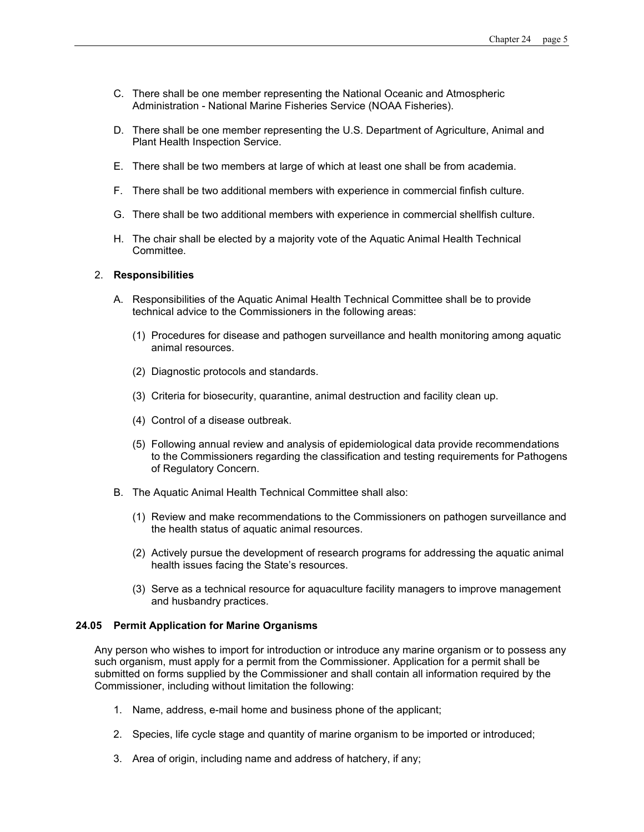- C. There shall be one member representing the National Oceanic and Atmospheric Administration - National Marine Fisheries Service (NOAA Fisheries).
- D. There shall be one member representing the U.S. Department of Agriculture, Animal and Plant Health Inspection Service.
- E. There shall be two members at large of which at least one shall be from academia.
- F. There shall be two additional members with experience in commercial finfish culture.
- G. There shall be two additional members with experience in commercial shellfish culture.
- H. The chair shall be elected by a majority vote of the Aquatic Animal Health Technical Committee.

# 2. **Responsibilities**

- A. Responsibilities of the Aquatic Animal Health Technical Committee shall be to provide technical advice to the Commissioners in the following areas:
	- (1) Procedures for disease and pathogen surveillance and health monitoring among aquatic animal resources.
	- (2) Diagnostic protocols and standards.
	- (3) Criteria for biosecurity, quarantine, animal destruction and facility clean up.
	- (4) Control of a disease outbreak.
	- (5) Following annual review and analysis of epidemiological data provide recommendations to the Commissioners regarding the classification and testing requirements for Pathogens of Regulatory Concern.
- B. The Aquatic Animal Health Technical Committee shall also:
	- (1) Review and make recommendations to the Commissioners on pathogen surveillance and the health status of aquatic animal resources.
	- (2) Actively pursue the development of research programs for addressing the aquatic animal health issues facing the State's resources.
	- (3) Serve as a technical resource for aquaculture facility managers to improve management and husbandry practices.

#### **24.05 Permit Application for Marine Organisms**

Any person who wishes to import for introduction or introduce any marine organism or to possess any such organism, must apply for a permit from the Commissioner. Application for a permit shall be submitted on forms supplied by the Commissioner and shall contain all information required by the Commissioner, including without limitation the following:

- 1. Name, address, e-mail home and business phone of the applicant;
- 2. Species, life cycle stage and quantity of marine organism to be imported or introduced;
- 3. Area of origin, including name and address of hatchery, if any;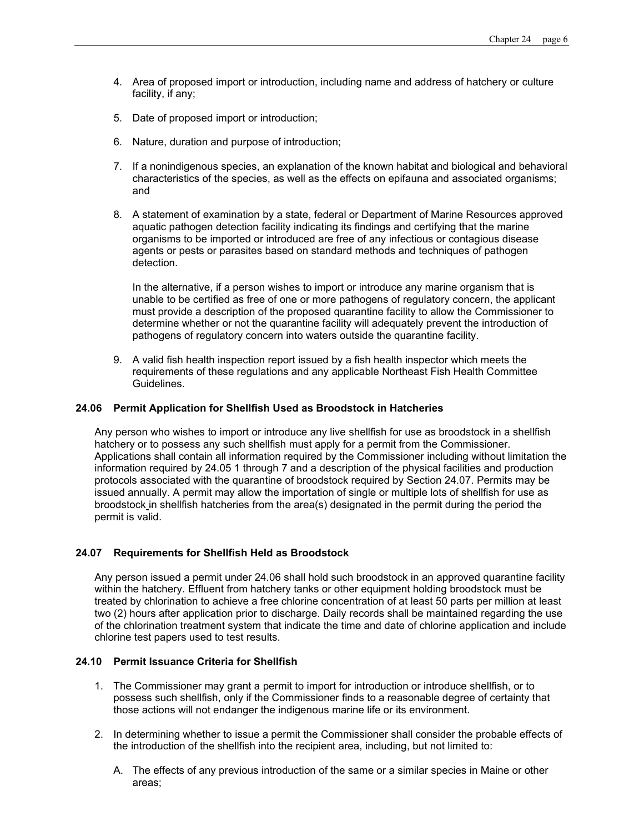- 4. Area of proposed import or introduction, including name and address of hatchery or culture facility, if any;
- 5. Date of proposed import or introduction;
- 6. Nature, duration and purpose of introduction;
- 7. If a nonindigenous species, an explanation of the known habitat and biological and behavioral characteristics of the species, as well as the effects on epifauna and associated organisms; and
- 8. A statement of examination by a state, federal or Department of Marine Resources approved aquatic pathogen detection facility indicating its findings and certifying that the marine organisms to be imported or introduced are free of any infectious or contagious disease agents or pests or parasites based on standard methods and techniques of pathogen detection.

In the alternative, if a person wishes to import or introduce any marine organism that is unable to be certified as free of one or more pathogens of regulatory concern, the applicant must provide a description of the proposed quarantine facility to allow the Commissioner to determine whether or not the quarantine facility will adequately prevent the introduction of pathogens of regulatory concern into waters outside the quarantine facility.

9. A valid fish health inspection report issued by a fish health inspector which meets the requirements of these regulations and any applicable Northeast Fish Health Committee Guidelines.

# **24.06 Permit Application for Shellfish Used as Broodstock in Hatcheries**

Any person who wishes to import or introduce any live shellfish for use as broodstock in a shellfish hatchery or to possess any such shellfish must apply for a permit from the Commissioner. Applications shall contain all information required by the Commissioner including without limitation the information required by 24.05 1 through 7 and a description of the physical facilities and production protocols associated with the quarantine of broodstock required by Section 24.07. Permits may be issued annually. A permit may allow the importation of single or multiple lots of shellfish for use as broodstock in shellfish hatcheries from the area(s) designated in the permit during the period the permit is valid.

# **24.07 Requirements for Shellfish Held as Broodstock**

Any person issued a permit under 24.06 shall hold such broodstock in an approved quarantine facility within the hatchery. Effluent from hatchery tanks or other equipment holding broodstock must be treated by chlorination to achieve a free chlorine concentration of at least 50 parts per million at least two (2) hours after application prior to discharge. Daily records shall be maintained regarding the use of the chlorination treatment system that indicate the time and date of chlorine application and include chlorine test papers used to test results.

### **24.10 Permit Issuance Criteria for Shellfish**

- 1. The Commissioner may grant a permit to import for introduction or introduce shellfish, or to possess such shellfish, only if the Commissioner finds to a reasonable degree of certainty that those actions will not endanger the indigenous marine life or its environment.
- 2. In determining whether to issue a permit the Commissioner shall consider the probable effects of the introduction of the shellfish into the recipient area, including, but not limited to:
	- A. The effects of any previous introduction of the same or a similar species in Maine or other areas;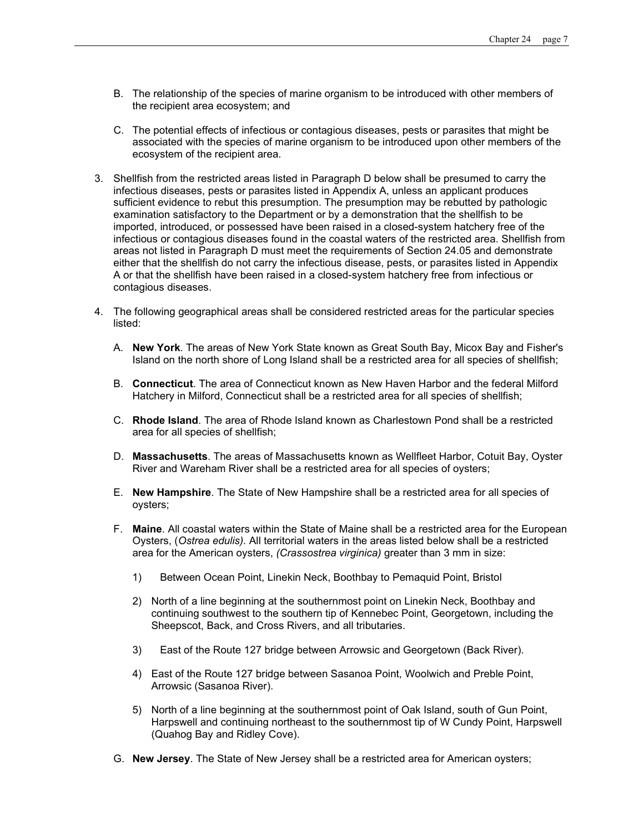- B. The relationship of the species of marine organism to be introduced with other members of the recipient area ecosystem; and
- C. The potential effects of infectious or contagious diseases, pests or parasites that might be associated with the species of marine organism to be introduced upon other members of the ecosystem of the recipient area.
- 3. Shellfish from the restricted areas listed in Paragraph D below shall be presumed to carry the infectious diseases, pests or parasites listed in Appendix A, unless an applicant produces sufficient evidence to rebut this presumption. The presumption may be rebutted by pathologic examination satisfactory to the Department or by a demonstration that the shellfish to be imported, introduced, or possessed have been raised in a closed-system hatchery free of the infectious or contagious diseases found in the coastal waters of the restricted area. Shellfish from areas not listed in Paragraph D must meet the requirements of Section 24.05 and demonstrate either that the shellfish do not carry the infectious disease, pests, or parasites listed in Appendix A or that the shellfish have been raised in a closed-system hatchery free from infectious or contagious diseases.
- 4. The following geographical areas shall be considered restricted areas for the particular species listed:
	- A. **New York**. The areas of New York State known as Great South Bay, Micox Bay and Fisher's Island on the north shore of Long Island shall be a restricted area for all species of shellfish;
	- B. **Connecticut**. The area of Connecticut known as New Haven Harbor and the federal Milford Hatchery in Milford, Connecticut shall be a restricted area for all species of shellfish;
	- C. **Rhode Island**. The area of Rhode Island known as Charlestown Pond shall be a restricted area for all species of shellfish;
	- D. **Massachusetts**. The areas of Massachusetts known as Wellfleet Harbor, Cotuit Bay, Oyster River and Wareham River shall be a restricted area for all species of oysters;
	- E. **New Hampshire**. The State of New Hampshire shall be a restricted area for all species of oysters;
	- F. **Maine**. All coastal waters within the State of Maine shall be a restricted area for the European Oysters, (*Ostrea edulis).* All territorial waters in the areas listed below shall be a restricted area for the American oysters, *(Crassostrea virginica)* greater than 3 mm in size:
		- 1) Between Ocean Point, Linekin Neck, Boothbay to Pemaquid Point, Bristol
		- 2) North of a line beginning at the southernmost point on Linekin Neck, Boothbay and continuing southwest to the southern tip of Kennebec Point, Georgetown, including the Sheepscot, Back, and Cross Rivers, and all tributaries.
		- 3) East of the Route 127 bridge between Arrowsic and Georgetown (Back River).
		- 4) East of the Route 127 bridge between Sasanoa Point, Woolwich and Preble Point, Arrowsic (Sasanoa River).
		- 5) North of a line beginning at the southernmost point of Oak Island, south of Gun Point, Harpswell and continuing northeast to the southernmost tip of W Cundy Point, Harpswell (Quahog Bay and Ridley Cove).
	- G. **New Jersey**. The State of New Jersey shall be a restricted area for American oysters;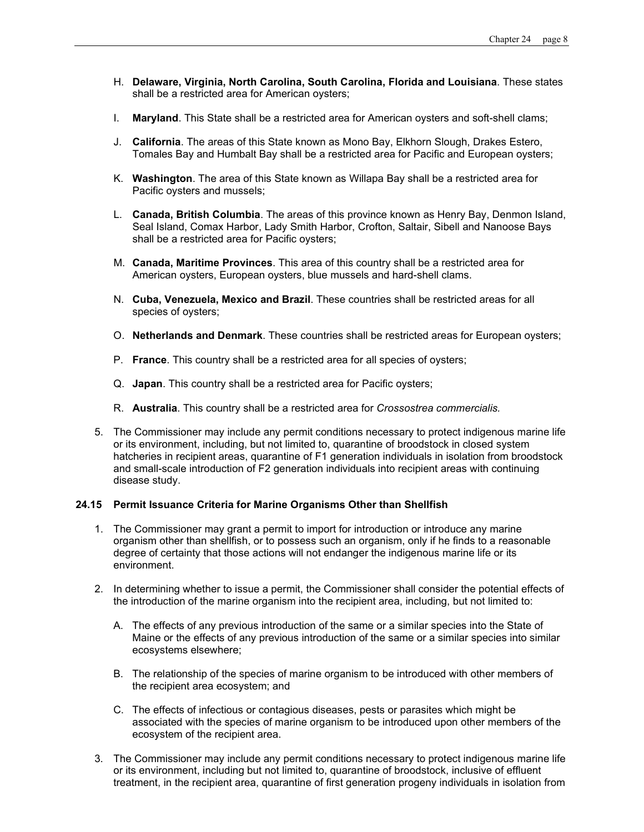- H. **Delaware, Virginia, North Carolina, South Carolina, Florida and Louisiana**. These states shall be a restricted area for American oysters;
- I. **Maryland**. This State shall be a restricted area for American oysters and soft-shell clams;
- J. **California**. The areas of this State known as Mono Bay, Elkhorn Slough, Drakes Estero, Tomales Bay and Humbalt Bay shall be a restricted area for Pacific and European oysters;
- K. **Washington**. The area of this State known as Willapa Bay shall be a restricted area for Pacific oysters and mussels;
- L. **Canada, British Columbia**. The areas of this province known as Henry Bay, Denmon Island, Seal Island, Comax Harbor, Lady Smith Harbor, Crofton, Saltair, Sibell and Nanoose Bays shall be a restricted area for Pacific oysters;
- M. **Canada, Maritime Provinces**. This area of this country shall be a restricted area for American oysters, European oysters, blue mussels and hard-shell clams.
- N. **Cuba, Venezuela, Mexico and Brazil**. These countries shall be restricted areas for all species of oysters;
- O. **Netherlands and Denmark**. These countries shall be restricted areas for European oysters;
- P. **France**. This country shall be a restricted area for all species of oysters;
- Q. **Japan**. This country shall be a restricted area for Pacific oysters;
- R. **Australia**. This country shall be a restricted area for *Crossostrea commercialis.*
- 5. The Commissioner may include any permit conditions necessary to protect indigenous marine life or its environment, including, but not limited to, quarantine of broodstock in closed system hatcheries in recipient areas, quarantine of F1 generation individuals in isolation from broodstock and small-scale introduction of F2 generation individuals into recipient areas with continuing disease study.

#### **24.15 Permit Issuance Criteria for Marine Organisms Other than Shellfish**

- 1. The Commissioner may grant a permit to import for introduction or introduce any marine organism other than shellfish, or to possess such an organism, only if he finds to a reasonable degree of certainty that those actions will not endanger the indigenous marine life or its environment.
- 2. In determining whether to issue a permit, the Commissioner shall consider the potential effects of the introduction of the marine organism into the recipient area, including, but not limited to:
	- A. The effects of any previous introduction of the same or a similar species into the State of Maine or the effects of any previous introduction of the same or a similar species into similar ecosystems elsewhere;
	- B. The relationship of the species of marine organism to be introduced with other members of the recipient area ecosystem; and
	- C. The effects of infectious or contagious diseases, pests or parasites which might be associated with the species of marine organism to be introduced upon other members of the ecosystem of the recipient area.
- 3. The Commissioner may include any permit conditions necessary to protect indigenous marine life or its environment, including but not limited to, quarantine of broodstock, inclusive of effluent treatment, in the recipient area, quarantine of first generation progeny individuals in isolation from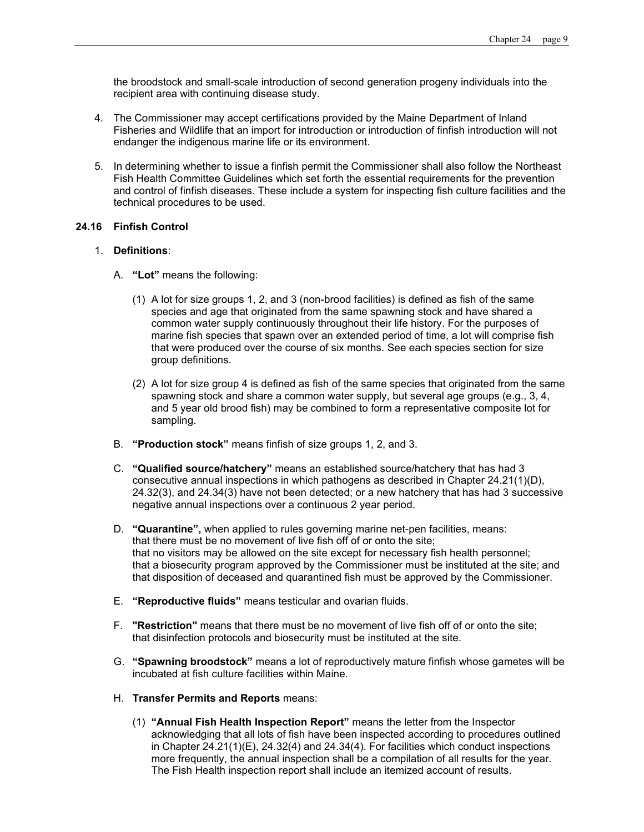the broodstock and small-scale introduction of second generation progeny individuals into the recipient area with continuing disease study.

- 4. The Commissioner may accept certifications provided by the Maine Department of Inland Fisheries and Wildlife that an import for introduction or introduction of finfish introduction will not endanger the indigenous marine life or its environment.
- 5. In determining whether to issue a finfish permit the Commissioner shall also follow the Northeast Fish Health Committee Guidelines which set forth the essential requirements for the prevention and control of finfish diseases. These include a system for inspecting fish culture facilities and the technical procedures to be used.

# **24.16 Finfish Control**

# 1. **Definitions**:

- A. **"Lot"** means the following:
	- (1) A lot for size groups 1, 2, and 3 (non-brood facilities) is defined as fish of the same species and age that originated from the same spawning stock and have shared a common water supply continuously throughout their life history. For the purposes of marine fish species that spawn over an extended period of time, a lot will comprise fish that were produced over the course of six months. See each species section for size group definitions.
	- (2) A lot for size group 4 is defined as fish of the same species that originated from the same spawning stock and share a common water supply, but several age groups (e.g., 3, 4, and 5 year old brood fish) may be combined to form a representative composite lot for sampling.
- B. **"Production stock"** means finfish of size groups 1, 2, and 3.
- C. **"Qualified source/hatchery"** means an established source/hatchery that has had 3 consecutive annual inspections in which pathogens as described in Chapter 24.21(1)(D), 24.32(3), and 24.34(3) have not been detected; or a new hatchery that has had 3 successive negative annual inspections over a continuous 2 year period.
- D. **"Quarantine",** when applied to rules governing marine net-pen facilities, means: that there must be no movement of live fish off of or onto the site; that no visitors may be allowed on the site except for necessary fish health personnel; that a biosecurity program approved by the Commissioner must be instituted at the site; and that disposition of deceased and quarantined fish must be approved by the Commissioner.
- E. **"Reproductive fluids"** means testicular and ovarian fluids.
- F. **"Restriction"** means that there must be no movement of live fish off of or onto the site; that disinfection protocols and biosecurity must be instituted at the site.
- G. **"Spawning broodstock"** means a lot of reproductively mature finfish whose gametes will be incubated at fish culture facilities within Maine.
- H. **Transfer Permits and Reports** means:
	- (1) **"Annual Fish Health Inspection Report"** means the letter from the Inspector acknowledging that all lots of fish have been inspected according to procedures outlined in Chapter 24.21(1)(E), 24.32(4) and 24.34(4). For facilities which conduct inspections more frequently, the annual inspection shall be a compilation of all results for the year. The Fish Health inspection report shall include an itemized account of results.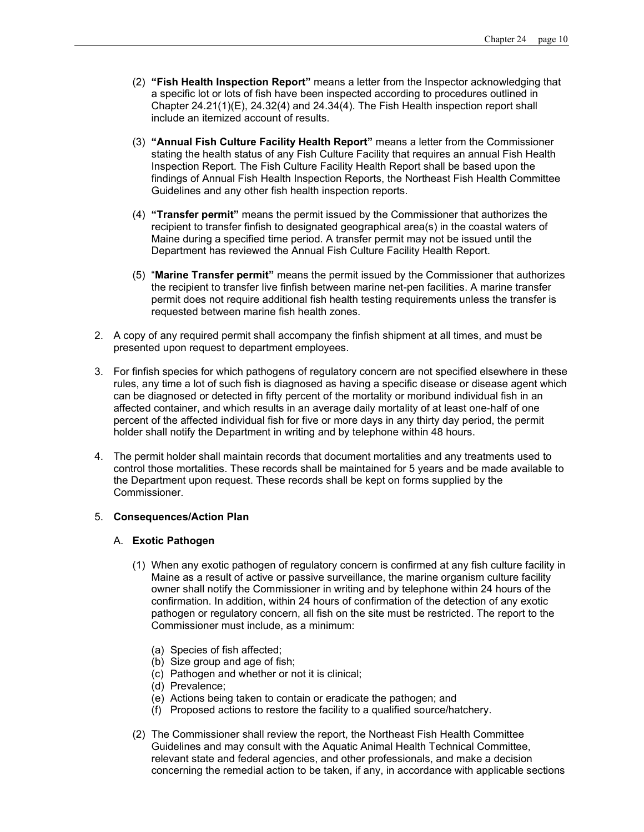- (2) **"Fish Health Inspection Report"** means a letter from the Inspector acknowledging that a specific lot or lots of fish have been inspected according to procedures outlined in Chapter 24.21(1)(E), 24.32(4) and 24.34(4). The Fish Health inspection report shall include an itemized account of results.
- (3) **"Annual Fish Culture Facility Health Report"** means a letter from the Commissioner stating the health status of any Fish Culture Facility that requires an annual Fish Health Inspection Report. The Fish Culture Facility Health Report shall be based upon the findings of Annual Fish Health Inspection Reports, the Northeast Fish Health Committee Guidelines and any other fish health inspection reports.
- (4) **"Transfer permit"** means the permit issued by the Commissioner that authorizes the recipient to transfer finfish to designated geographical area(s) in the coastal waters of Maine during a specified time period. A transfer permit may not be issued until the Department has reviewed the Annual Fish Culture Facility Health Report.
- (5) "**Marine Transfer permit"** means the permit issued by the Commissioner that authorizes the recipient to transfer live finfish between marine net-pen facilities. A marine transfer permit does not require additional fish health testing requirements unless the transfer is requested between marine fish health zones.
- 2. A copy of any required permit shall accompany the finfish shipment at all times, and must be presented upon request to department employees.
- 3. For finfish species for which pathogens of regulatory concern are not specified elsewhere in these rules, any time a lot of such fish is diagnosed as having a specific disease or disease agent which can be diagnosed or detected in fifty percent of the mortality or moribund individual fish in an affected container, and which results in an average daily mortality of at least one-half of one percent of the affected individual fish for five or more days in any thirty day period, the permit holder shall notify the Department in writing and by telephone within 48 hours.
- 4. The permit holder shall maintain records that document mortalities and any treatments used to control those mortalities. These records shall be maintained for 5 years and be made available to the Department upon request. These records shall be kept on forms supplied by the Commissioner.

# 5. **Consequences/Action Plan**

#### A. **Exotic Pathogen**

- (1) When any exotic pathogen of regulatory concern is confirmed at any fish culture facility in Maine as a result of active or passive surveillance, the marine organism culture facility owner shall notify the Commissioner in writing and by telephone within 24 hours of the confirmation. In addition, within 24 hours of confirmation of the detection of any exotic pathogen or regulatory concern, all fish on the site must be restricted. The report to the Commissioner must include, as a minimum:
	- (a) Species of fish affected;
	- (b) Size group and age of fish;
	- (c) Pathogen and whether or not it is clinical;
	- (d) Prevalence;
	- (e) Actions being taken to contain or eradicate the pathogen; and
	- (f) Proposed actions to restore the facility to a qualified source/hatchery.
- (2) The Commissioner shall review the report, the Northeast Fish Health Committee Guidelines and may consult with the Aquatic Animal Health Technical Committee, relevant state and federal agencies, and other professionals, and make a decision concerning the remedial action to be taken, if any, in accordance with applicable sections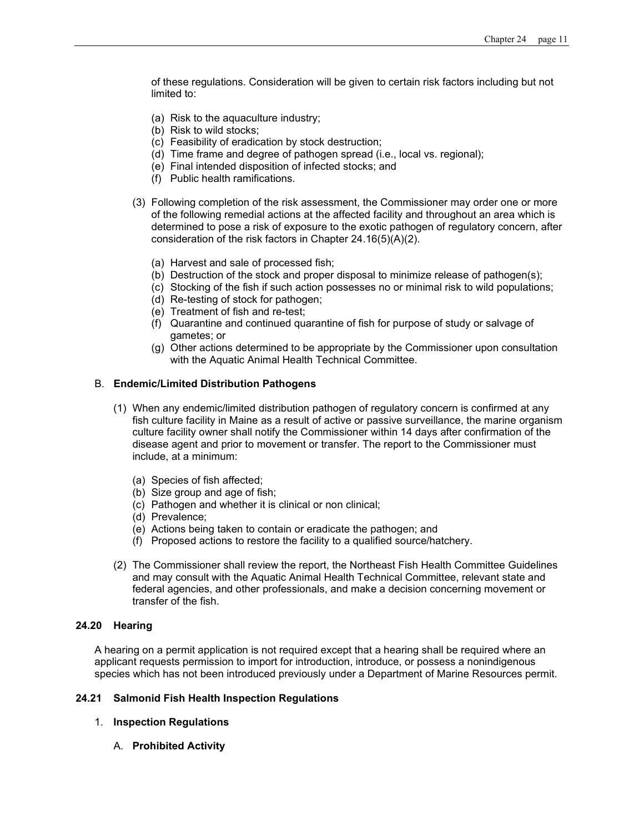of these regulations. Consideration will be given to certain risk factors including but not limited to:

- (a) Risk to the aquaculture industry;
- (b) Risk to wild stocks;
- (c) Feasibility of eradication by stock destruction;
- (d) Time frame and degree of pathogen spread (i.e., local vs. regional);
- (e) Final intended disposition of infected stocks; and
- (f) Public health ramifications.
- (3) Following completion of the risk assessment, the Commissioner may order one or more of the following remedial actions at the affected facility and throughout an area which is determined to pose a risk of exposure to the exotic pathogen of regulatory concern, after consideration of the risk factors in Chapter 24.16(5)(A)(2).
	- (a) Harvest and sale of processed fish;
	- (b) Destruction of the stock and proper disposal to minimize release of pathogen(s);
	- (c) Stocking of the fish if such action possesses no or minimal risk to wild populations;
	- (d) Re-testing of stock for pathogen;
	- (e) Treatment of fish and re-test;
	- (f) Quarantine and continued quarantine of fish for purpose of study or salvage of gametes; or
	- (g) Other actions determined to be appropriate by the Commissioner upon consultation with the Aquatic Animal Health Technical Committee.

# B. **Endemic/Limited Distribution Pathogens**

- (1) When any endemic/limited distribution pathogen of regulatory concern is confirmed at any fish culture facility in Maine as a result of active or passive surveillance, the marine organism culture facility owner shall notify the Commissioner within 14 days after confirmation of the disease agent and prior to movement or transfer. The report to the Commissioner must include, at a minimum:
	- (a) Species of fish affected;
	- (b) Size group and age of fish;
	- (c) Pathogen and whether it is clinical or non clinical;
	- (d) Prevalence;
	- (e) Actions being taken to contain or eradicate the pathogen; and
	- (f) Proposed actions to restore the facility to a qualified source/hatchery.
- (2) The Commissioner shall review the report, the Northeast Fish Health Committee Guidelines and may consult with the Aquatic Animal Health Technical Committee, relevant state and federal agencies, and other professionals, and make a decision concerning movement or transfer of the fish.

#### **24.20 Hearing**

A hearing on a permit application is not required except that a hearing shall be required where an applicant requests permission to import for introduction, introduce, or possess a nonindigenous species which has not been introduced previously under a Department of Marine Resources permit.

# **24.21 Salmonid Fish Health Inspection Regulations**

- 1. **Inspection Regulations**
	- A. **Prohibited Activity**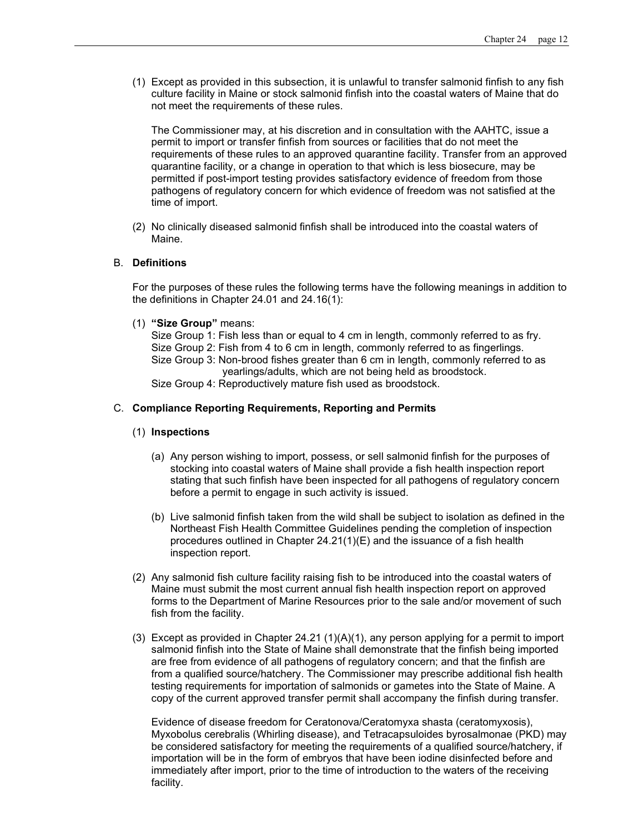(1) Except as provided in this subsection, it is unlawful to transfer salmonid finfish to any fish culture facility in Maine or stock salmonid finfish into the coastal waters of Maine that do not meet the requirements of these rules.

The Commissioner may, at his discretion and in consultation with the AAHTC, issue a permit to import or transfer finfish from sources or facilities that do not meet the requirements of these rules to an approved quarantine facility. Transfer from an approved quarantine facility, or a change in operation to that which is less biosecure, may be permitted if post-import testing provides satisfactory evidence of freedom from those pathogens of regulatory concern for which evidence of freedom was not satisfied at the time of import.

(2) No clinically diseased salmonid finfish shall be introduced into the coastal waters of Maine.

# B. **Definitions**

For the purposes of these rules the following terms have the following meanings in addition to the definitions in Chapter 24.01 and 24.16(1):

(1) **"Size Group"** means:

Size Group 1: Fish less than or equal to 4 cm in length, commonly referred to as fry. Size Group 2: Fish from 4 to 6 cm in length, commonly referred to as fingerlings. Size Group 3: Non-brood fishes greater than 6 cm in length, commonly referred to as yearlings/adults, which are not being held as broodstock.

Size Group 4: Reproductively mature fish used as broodstock.

#### C. **Compliance Reporting Requirements, Reporting and Permits**

# (1) **Inspections**

- (a) Any person wishing to import, possess, or sell salmonid finfish for the purposes of stocking into coastal waters of Maine shall provide a fish health inspection report stating that such finfish have been inspected for all pathogens of regulatory concern before a permit to engage in such activity is issued.
- (b) Live salmonid finfish taken from the wild shall be subject to isolation as defined in the Northeast Fish Health Committee Guidelines pending the completion of inspection procedures outlined in Chapter 24.21(1)(E) and the issuance of a fish health inspection report.
- (2) Any salmonid fish culture facility raising fish to be introduced into the coastal waters of Maine must submit the most current annual fish health inspection report on approved forms to the Department of Marine Resources prior to the sale and/or movement of such fish from the facility.
- (3) Except as provided in Chapter 24.21 (1)(A)(1), any person applying for a permit to import salmonid finfish into the State of Maine shall demonstrate that the finfish being imported are free from evidence of all pathogens of regulatory concern; and that the finfish are from a qualified source/hatchery. The Commissioner may prescribe additional fish health testing requirements for importation of salmonids or gametes into the State of Maine. A copy of the current approved transfer permit shall accompany the finfish during transfer.

Evidence of disease freedom for Ceratonova/Ceratomyxa shasta (ceratomyxosis), Myxobolus cerebralis (Whirling disease), and Tetracapsuloides byrosalmonae (PKD) may be considered satisfactory for meeting the requirements of a qualified source/hatchery, if importation will be in the form of embryos that have been iodine disinfected before and immediately after import, prior to the time of introduction to the waters of the receiving facility.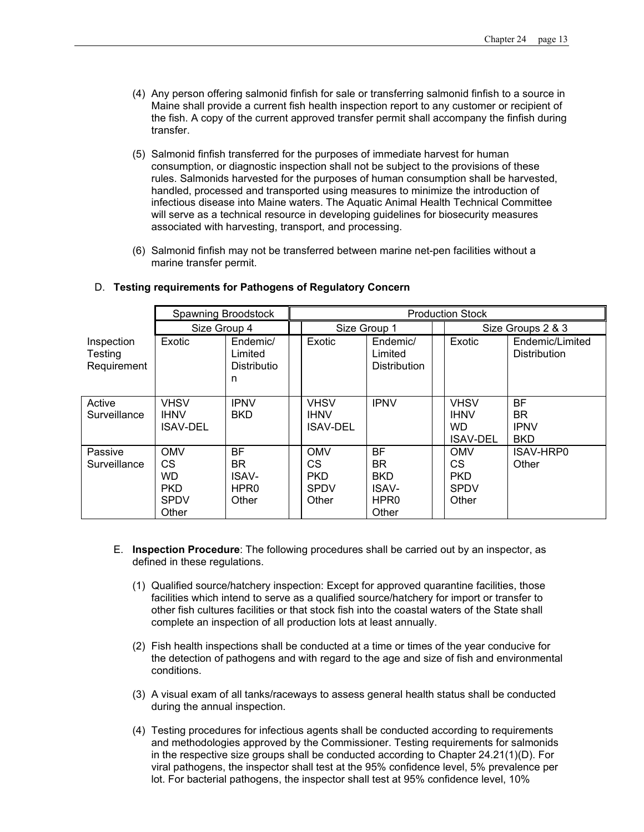- (4) Any person offering salmonid finfish for sale or transferring salmonid finfish to a source in Maine shall provide a current fish health inspection report to any customer or recipient of the fish. A copy of the current approved transfer permit shall accompany the finfish during transfer.
- (5) Salmonid finfish transferred for the purposes of immediate harvest for human consumption, or diagnostic inspection shall not be subject to the provisions of these rules. Salmonids harvested for the purposes of human consumption shall be harvested, handled, processed and transported using measures to minimize the introduction of infectious disease into Maine waters. The Aquatic Animal Health Technical Committee will serve as a technical resource in developing guidelines for biosecurity measures associated with harvesting, transport, and processing.
- (6) Salmonid finfish may not be transferred between marine net-pen facilities without a marine transfer permit.

|                                      | Spawning Broodstock<br><b>Production Stock</b>                             |                                                               |                                                         |                                                                            |  |                                                            |                                                     |  |  |
|--------------------------------------|----------------------------------------------------------------------------|---------------------------------------------------------------|---------------------------------------------------------|----------------------------------------------------------------------------|--|------------------------------------------------------------|-----------------------------------------------------|--|--|
|                                      | Size Group 4                                                               |                                                               | Size Group 1                                            |                                                                            |  | Size Groups 2 & 3                                          |                                                     |  |  |
| Inspection<br>Testing<br>Requirement | Exotic                                                                     | Endemic/<br>Limited<br>Distributio<br>n                       | Exotic                                                  | Endemic/<br>Limited<br><b>Distribution</b>                                 |  | Exotic                                                     | Endemic/Limited<br><b>Distribution</b>              |  |  |
| Active<br>Surveillance               | <b>VHSV</b><br><b>IHNV</b><br><b>ISAV-DEL</b>                              | <b>IPNV</b><br><b>BKD</b>                                     | <b>VHSV</b><br><b>IHNV</b><br><b>ISAV-DEL</b>           | <b>IPNV</b>                                                                |  | <b>VHSV</b><br><b>IHNV</b><br><b>WD</b><br><b>ISAV-DEL</b> | <b>BF</b><br><b>BR</b><br><b>IPNV</b><br><b>BKD</b> |  |  |
| Passive<br>Surveillance              | <b>OMV</b><br><b>CS</b><br><b>WD</b><br><b>PKD</b><br><b>SPDV</b><br>Other | <b>BF</b><br>BR.<br><b>ISAV-</b><br>HPR <sub>0</sub><br>Other | <b>OMV</b><br>CS.<br><b>PKD</b><br><b>SPDV</b><br>Other | <b>BF</b><br>BR<br><b>BKD</b><br><b>ISAV-</b><br>HPR <sub>0</sub><br>Other |  | <b>OMV</b><br>CS<br><b>PKD</b><br><b>SPDV</b><br>Other     | ISAV-HRP0<br>Other                                  |  |  |

# D. **Testing requirements for Pathogens of Regulatory Concern**

- E. **Inspection Procedure**: The following procedures shall be carried out by an inspector, as defined in these regulations.
	- (1) Qualified source/hatchery inspection: Except for approved quarantine facilities, those facilities which intend to serve as a qualified source/hatchery for import or transfer to other fish cultures facilities or that stock fish into the coastal waters of the State shall complete an inspection of all production lots at least annually.
	- (2) Fish health inspections shall be conducted at a time or times of the year conducive for the detection of pathogens and with regard to the age and size of fish and environmental conditions.
	- (3) A visual exam of all tanks/raceways to assess general health status shall be conducted during the annual inspection.
	- (4) Testing procedures for infectious agents shall be conducted according to requirements and methodologies approved by the Commissioner. Testing requirements for salmonids in the respective size groups shall be conducted according to Chapter 24.21(1)(D). For viral pathogens, the inspector shall test at the 95% confidence level, 5% prevalence per lot. For bacterial pathogens, the inspector shall test at 95% confidence level, 10%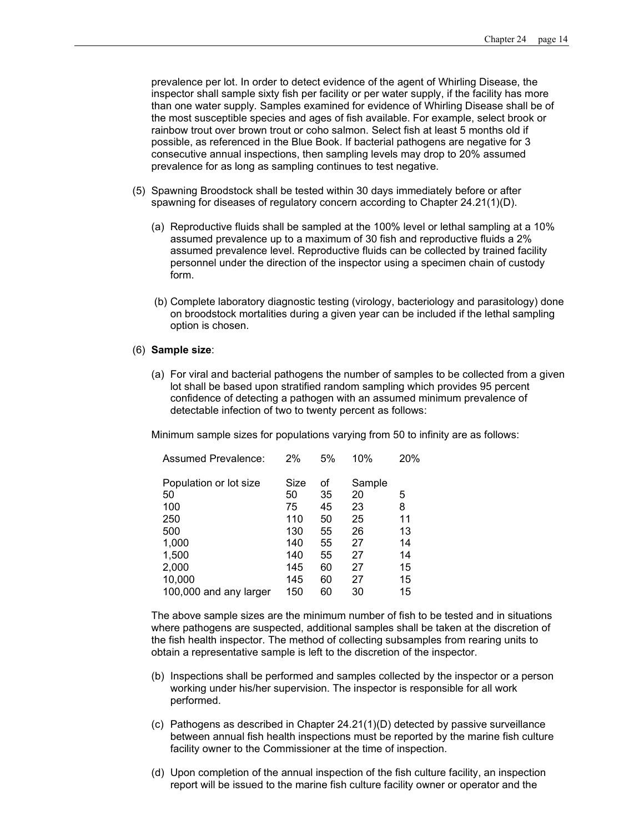prevalence per lot. In order to detect evidence of the agent of Whirling Disease, the inspector shall sample sixty fish per facility or per water supply, if the facility has more than one water supply*.* Samples examined for evidence of Whirling Disease shall be of the most susceptible species and ages of fish available. For example, select brook or rainbow trout over brown trout or coho salmon. Select fish at least 5 months old if possible, as referenced in the Blue Book. If bacterial pathogens are negative for 3 consecutive annual inspections, then sampling levels may drop to 20% assumed prevalence for as long as sampling continues to test negative.

- (5) Spawning Broodstock shall be tested within 30 days immediately before or after spawning for diseases of regulatory concern according to Chapter 24.21(1)(D).
	- (a) Reproductive fluids shall be sampled at the 100% level or lethal sampling at a 10% assumed prevalence up to a maximum of 30 fish and reproductive fluids a 2% assumed prevalence level. Reproductive fluids can be collected by trained facility personnel under the direction of the inspector using a specimen chain of custody form.
	- (b) Complete laboratory diagnostic testing (virology, bacteriology and parasitology) done on broodstock mortalities during a given year can be included if the lethal sampling option is chosen.

#### (6) **Sample size**:

(a) For viral and bacterial pathogens the number of samples to be collected from a given lot shall be based upon stratified random sampling which provides 95 percent confidence of detecting a pathogen with an assumed minimum prevalence of detectable infection of two to twenty percent as follows:

Minimum sample sizes for populations varying from 50 to infinity are as follows:

| 2%   | 5% | 10%    | 20% |
|------|----|--------|-----|
| Size | οf | Sample |     |
| 50   | 35 | 20     | 5   |
| 75   | 45 | 23     | 8   |
| 110  | 50 | 25     | 11  |
| 130  | 55 | 26     | 13  |
| 140  | 55 | 27     | 14  |
| 140  | 55 | 27     | 14  |
| 145  | 60 | 27     | 15  |
| 145  | 60 | 27     | 15  |
| 150  | 60 | 30     | 15  |
|      |    |        |     |

The above sample sizes are the minimum number of fish to be tested and in situations where pathogens are suspected, additional samples shall be taken at the discretion of the fish health inspector. The method of collecting subsamples from rearing units to obtain a representative sample is left to the discretion of the inspector.

- (b) Inspections shall be performed and samples collected by the inspector or a person working under his/her supervision. The inspector is responsible for all work performed.
- (c) Pathogens as described in Chapter 24.21(1)(D) detected by passive surveillance between annual fish health inspections must be reported by the marine fish culture facility owner to the Commissioner at the time of inspection.
- (d) Upon completion of the annual inspection of the fish culture facility, an inspection report will be issued to the marine fish culture facility owner or operator and the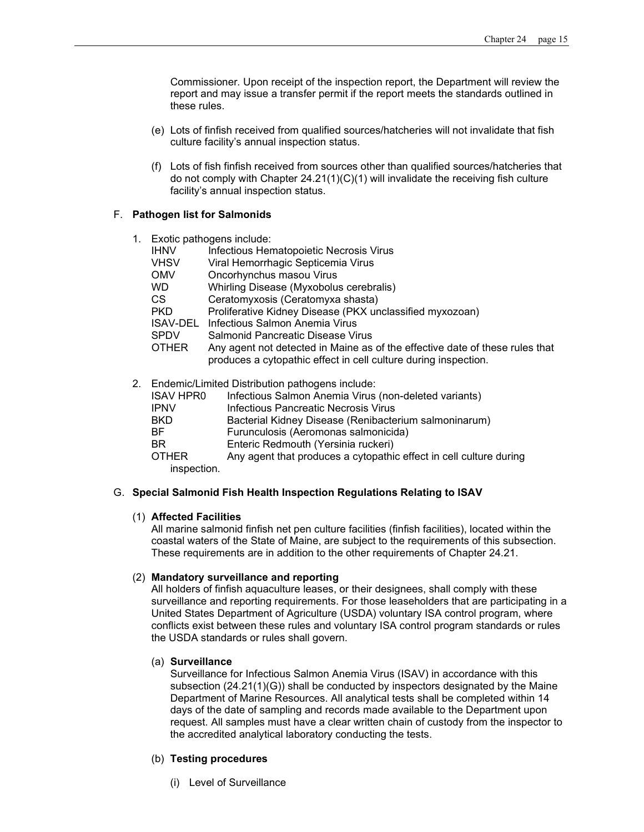Commissioner*.* Upon receipt of the inspection report, the Department will review the report and may issue a transfer permit if the report meets the standards outlined in these rules.

- (e) Lots of finfish received from qualified sources/hatcheries will not invalidate that fish culture facility's annual inspection status.
- (f) Lots of fish finfish received from sources other than qualified sources/hatcheries that do not comply with Chapter 24.21(1)(C)(1) will invalidate the receiving fish culture facility's annual inspection status.

# F. **Pathogen list for Salmonids**

| 1. |              | Exotic pathogens include:                                                                                                                       |
|----|--------------|-------------------------------------------------------------------------------------------------------------------------------------------------|
|    | <b>IHNV</b>  | Infectious Hematopoietic Necrosis Virus                                                                                                         |
|    | <b>VHSV</b>  | Viral Hemorrhagic Septicemia Virus                                                                                                              |
|    | <b>OMV</b>   | Oncorhynchus masou Virus                                                                                                                        |
|    | WD.          | Whirling Disease (Myxobolus cerebralis)                                                                                                         |
|    | CS.          | Ceratomyxosis (Ceratomyxa shasta)                                                                                                               |
|    | <b>PKD</b>   | Proliferative Kidney Disease (PKX unclassified myxozoan)                                                                                        |
|    | ISAV-DEL     | Infectious Salmon Anemia Virus                                                                                                                  |
|    | <b>SPDV</b>  | Salmonid Pancreatic Disease Virus                                                                                                               |
|    | <b>OTHER</b> | Any agent not detected in Maine as of the effective date of these rules that<br>produces a cytopathic effect in cell culture during inspection. |
|    | ISAV HPR0.   | 2. Endemic/Limited Distribution pathogens include:<br>Infectious Salmon Anemia Virus (non-deleted variants)                                     |

| <b>ISAV HPRO</b> | Infectious Salmon Anemia Virus (non-deleted variants) |
|------------------|-------------------------------------------------------|
| $1$ man $1$      | Infosticus Denoncetic Nooneeig Vinus                  |

| <b>IPNV</b> | Infectious Pancreatic Necrosis Virus                  |
|-------------|-------------------------------------------------------|
| -BKD        | Bacterial Kidney Disease (Renibacterium salmoninarum) |
| -RF         | Furunculosis (Aeromonas salmonicida)                  |
| -BR         | Enteric Redmouth (Yersinia ruckeri)                   |
|             |                                                       |

OTHER Any agent that produces a cytopathic effect in cell culture during inspection.

#### G. **Special Salmonid Fish Health Inspection Regulations Relating to ISAV**

#### (1) **Affected Facilities**

All marine salmonid finfish net pen culture facilities (finfish facilities), located within the coastal waters of the State of Maine, are subject to the requirements of this subsection. These requirements are in addition to the other requirements of Chapter 24.21.

# (2) **Mandatory surveillance and reporting**

All holders of finfish aquaculture leases, or their designees, shall comply with these surveillance and reporting requirements. For those leaseholders that are participating in a United States Department of Agriculture (USDA) voluntary ISA control program, where conflicts exist between these rules and voluntary ISA control program standards or rules the USDA standards or rules shall govern.

#### (a) **Surveillance**

Surveillance for Infectious Salmon Anemia Virus (ISAV) in accordance with this subsection (24.21(1)(G)) shall be conducted by inspectors designated by the Maine Department of Marine Resources. All analytical tests shall be completed within 14 days of the date of sampling and records made available to the Department upon request. All samples must have a clear written chain of custody from the inspector to the accredited analytical laboratory conducting the tests.

# (b) **Testing procedures**

(i) Level of Surveillance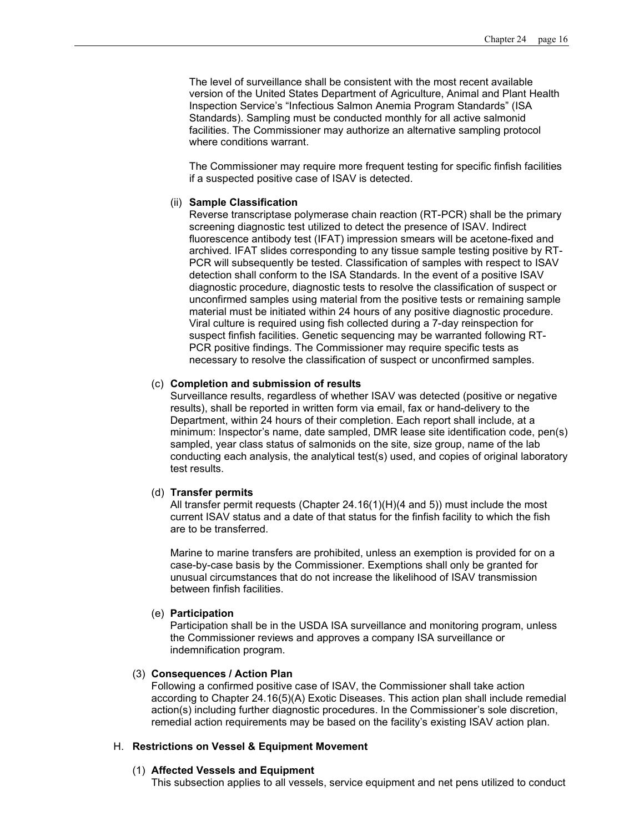The level of surveillance shall be consistent with the most recent available version of the United States Department of Agriculture, Animal and Plant Health Inspection Service's "Infectious Salmon Anemia Program Standards" (ISA Standards). Sampling must be conducted monthly for all active salmonid facilities. The Commissioner may authorize an alternative sampling protocol where conditions warrant.

The Commissioner may require more frequent testing for specific finfish facilities if a suspected positive case of ISAV is detected.

#### (ii) **Sample Classification**

Reverse transcriptase polymerase chain reaction (RT-PCR) shall be the primary screening diagnostic test utilized to detect the presence of ISAV. Indirect fluorescence antibody test (IFAT) impression smears will be acetone-fixed and archived. IFAT slides corresponding to any tissue sample testing positive by RT-PCR will subsequently be tested. Classification of samples with respect to ISAV detection shall conform to the ISA Standards. In the event of a positive ISAV diagnostic procedure, diagnostic tests to resolve the classification of suspect or unconfirmed samples using material from the positive tests or remaining sample material must be initiated within 24 hours of any positive diagnostic procedure. Viral culture is required using fish collected during a 7-day reinspection for suspect finfish facilities. Genetic sequencing may be warranted following RT-PCR positive findings. The Commissioner may require specific tests as necessary to resolve the classification of suspect or unconfirmed samples.

# (c) **Completion and submission of results**

Surveillance results, regardless of whether ISAV was detected (positive or negative results), shall be reported in written form via email, fax or hand-delivery to the Department, within 24 hours of their completion. Each report shall include, at a minimum: Inspector's name, date sampled, DMR lease site identification code, pen(s) sampled, year class status of salmonids on the site, size group, name of the lab conducting each analysis, the analytical test(s) used, and copies of original laboratory test results.

#### (d) **Transfer permits**

All transfer permit requests (Chapter 24.16(1)(H)(4 and 5)) must include the most current ISAV status and a date of that status for the finfish facility to which the fish are to be transferred.

Marine to marine transfers are prohibited, unless an exemption is provided for on a case-by-case basis by the Commissioner. Exemptions shall only be granted for unusual circumstances that do not increase the likelihood of ISAV transmission between finfish facilities.

#### (e) **Participation**

Participation shall be in the USDA ISA surveillance and monitoring program, unless the Commissioner reviews and approves a company ISA surveillance or indemnification program.

#### (3) **Consequences / Action Plan**

Following a confirmed positive case of ISAV, the Commissioner shall take action according to Chapter 24.16(5)(A) Exotic Diseases. This action plan shall include remedial action(s) including further diagnostic procedures. In the Commissioner's sole discretion, remedial action requirements may be based on the facility's existing ISAV action plan.

#### H. **Restrictions on Vessel & Equipment Movement**

#### (1) **Affected Vessels and Equipment**

This subsection applies to all vessels, service equipment and net pens utilized to conduct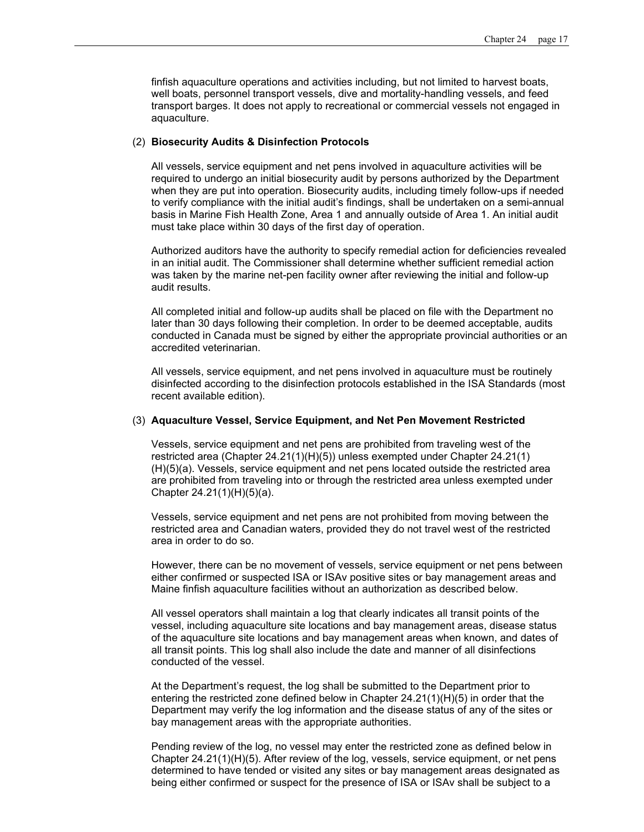finfish aquaculture operations and activities including, but not limited to harvest boats, well boats, personnel transport vessels, dive and mortality-handling vessels, and feed transport barges. It does not apply to recreational or commercial vessels not engaged in aquaculture.

#### (2) **Biosecurity Audits & Disinfection Protocols**

All vessels, service equipment and net pens involved in aquaculture activities will be required to undergo an initial biosecurity audit by persons authorized by the Department when they are put into operation. Biosecurity audits, including timely follow-ups if needed to verify compliance with the initial audit's findings, shall be undertaken on a semi-annual basis in Marine Fish Health Zone, Area 1 and annually outside of Area 1. An initial audit must take place within 30 days of the first day of operation.

Authorized auditors have the authority to specify remedial action for deficiencies revealed in an initial audit. The Commissioner shall determine whether sufficient remedial action was taken by the marine net-pen facility owner after reviewing the initial and follow-up audit results.

All completed initial and follow-up audits shall be placed on file with the Department no later than 30 days following their completion. In order to be deemed acceptable, audits conducted in Canada must be signed by either the appropriate provincial authorities or an accredited veterinarian.

All vessels, service equipment, and net pens involved in aquaculture must be routinely disinfected according to the disinfection protocols established in the ISA Standards (most recent available edition).

#### (3) **Aquaculture Vessel, Service Equipment, and Net Pen Movement Restricted**

Vessels, service equipment and net pens are prohibited from traveling west of the restricted area (Chapter 24.21(1)(H)(5)) unless exempted under Chapter 24.21(1) (H)(5)(a). Vessels, service equipment and net pens located outside the restricted area are prohibited from traveling into or through the restricted area unless exempted under Chapter 24.21(1)(H)(5)(a).

Vessels, service equipment and net pens are not prohibited from moving between the restricted area and Canadian waters, provided they do not travel west of the restricted area in order to do so.

However, there can be no movement of vessels, service equipment or net pens between either confirmed or suspected ISA or ISAv positive sites or bay management areas and Maine finfish aquaculture facilities without an authorization as described below.

All vessel operators shall maintain a log that clearly indicates all transit points of the vessel, including aquaculture site locations and bay management areas, disease status of the aquaculture site locations and bay management areas when known, and dates of all transit points. This log shall also include the date and manner of all disinfections conducted of the vessel.

At the Department's request, the log shall be submitted to the Department prior to entering the restricted zone defined below in Chapter 24.21(1)(H)(5) in order that the Department may verify the log information and the disease status of any of the sites or bay management areas with the appropriate authorities.

Pending review of the log, no vessel may enter the restricted zone as defined below in Chapter 24.21(1)(H)(5). After review of the log, vessels, service equipment, or net pens determined to have tended or visited any sites or bay management areas designated as being either confirmed or suspect for the presence of ISA or ISAv shall be subject to a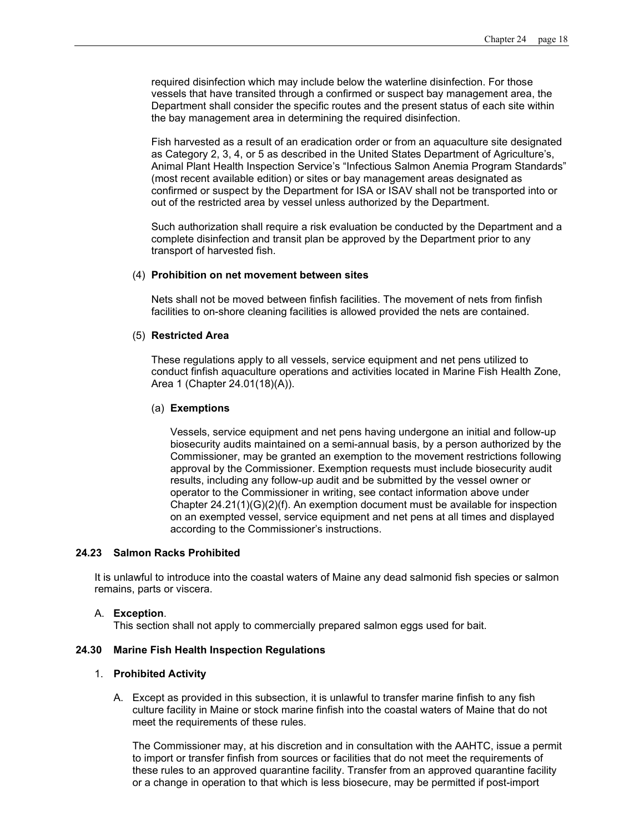required disinfection which may include below the waterline disinfection. For those vessels that have transited through a confirmed or suspect bay management area, the Department shall consider the specific routes and the present status of each site within the bay management area in determining the required disinfection.

Fish harvested as a result of an eradication order or from an aquaculture site designated as Category 2, 3, 4, or 5 as described in the United States Department of Agriculture's, Animal Plant Health Inspection Service's "Infectious Salmon Anemia Program Standards" (most recent available edition) or sites or bay management areas designated as confirmed or suspect by the Department for ISA or ISAV shall not be transported into or out of the restricted area by vessel unless authorized by the Department.

Such authorization shall require a risk evaluation be conducted by the Department and a complete disinfection and transit plan be approved by the Department prior to any transport of harvested fish.

#### (4) **Prohibition on net movement between sites**

Nets shall not be moved between finfish facilities. The movement of nets from finfish facilities to on-shore cleaning facilities is allowed provided the nets are contained.

# (5) **Restricted Area**

These regulations apply to all vessels, service equipment and net pens utilized to conduct finfish aquaculture operations and activities located in Marine Fish Health Zone, Area 1 (Chapter 24.01(18)(A)).

#### (a) **Exemptions**

Vessels, service equipment and net pens having undergone an initial and follow-up biosecurity audits maintained on a semi-annual basis, by a person authorized by the Commissioner, may be granted an exemption to the movement restrictions following approval by the Commissioner. Exemption requests must include biosecurity audit results, including any follow-up audit and be submitted by the vessel owner or operator to the Commissioner in writing, see contact information above under Chapter 24.21(1)(G)(2)(f). An exemption document must be available for inspection on an exempted vessel, service equipment and net pens at all times and displayed according to the Commissioner's instructions.

# **24.23 Salmon Racks Prohibited**

It is unlawful to introduce into the coastal waters of Maine any dead salmonid fish species or salmon remains, parts or viscera.

#### A. **Exception**.

This section shall not apply to commercially prepared salmon eggs used for bait.

#### **24.30 Marine Fish Health Inspection Regulations**

#### 1. **Prohibited Activity**

A. Except as provided in this subsection, it is unlawful to transfer marine finfish to any fish culture facility in Maine or stock marine finfish into the coastal waters of Maine that do not meet the requirements of these rules.

The Commissioner may, at his discretion and in consultation with the AAHTC, issue a permit to import or transfer finfish from sources or facilities that do not meet the requirements of these rules to an approved quarantine facility. Transfer from an approved quarantine facility or a change in operation to that which is less biosecure, may be permitted if post-import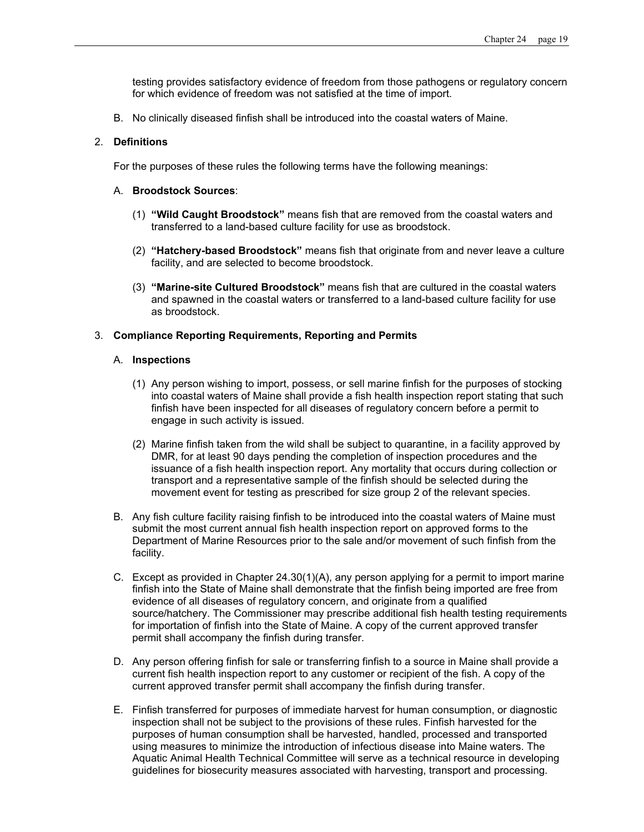testing provides satisfactory evidence of freedom from those pathogens or regulatory concern for which evidence of freedom was not satisfied at the time of import.

B. No clinically diseased finfish shall be introduced into the coastal waters of Maine.

### 2. **Definitions**

For the purposes of these rules the following terms have the following meanings:

### A. **Broodstock Sources**:

- (1) **"Wild Caught Broodstock"** means fish that are removed from the coastal waters and transferred to a land-based culture facility for use as broodstock.
- (2) **"Hatchery-based Broodstock"** means fish that originate from and never leave a culture facility, and are selected to become broodstock.
- (3) **"Marine-site Cultured Broodstock"** means fish that are cultured in the coastal waters and spawned in the coastal waters or transferred to a land-based culture facility for use as broodstock.

### 3. **Compliance Reporting Requirements, Reporting and Permits**

### A. **Inspections**

- (1) Any person wishing to import, possess, or sell marine finfish for the purposes of stocking into coastal waters of Maine shall provide a fish health inspection report stating that such finfish have been inspected for all diseases of regulatory concern before a permit to engage in such activity is issued.
- (2) Marine finfish taken from the wild shall be subject to quarantine, in a facility approved by DMR, for at least 90 days pending the completion of inspection procedures and the issuance of a fish health inspection report. Any mortality that occurs during collection or transport and a representative sample of the finfish should be selected during the movement event for testing as prescribed for size group 2 of the relevant species.
- B. Any fish culture facility raising finfish to be introduced into the coastal waters of Maine must submit the most current annual fish health inspection report on approved forms to the Department of Marine Resources prior to the sale and/or movement of such finfish from the facility.
- C. Except as provided in Chapter 24.30(1)(A), any person applying for a permit to import marine finfish into the State of Maine shall demonstrate that the finfish being imported are free from evidence of all diseases of regulatory concern, and originate from a qualified source/hatchery. The Commissioner may prescribe additional fish health testing requirements for importation of finfish into the State of Maine. A copy of the current approved transfer permit shall accompany the finfish during transfer.
- D. Any person offering finfish for sale or transferring finfish to a source in Maine shall provide a current fish health inspection report to any customer or recipient of the fish. A copy of the current approved transfer permit shall accompany the finfish during transfer.
- E. Finfish transferred for purposes of immediate harvest for human consumption, or diagnostic inspection shall not be subject to the provisions of these rules. Finfish harvested for the purposes of human consumption shall be harvested, handled, processed and transported using measures to minimize the introduction of infectious disease into Maine waters. The Aquatic Animal Health Technical Committee will serve as a technical resource in developing guidelines for biosecurity measures associated with harvesting, transport and processing.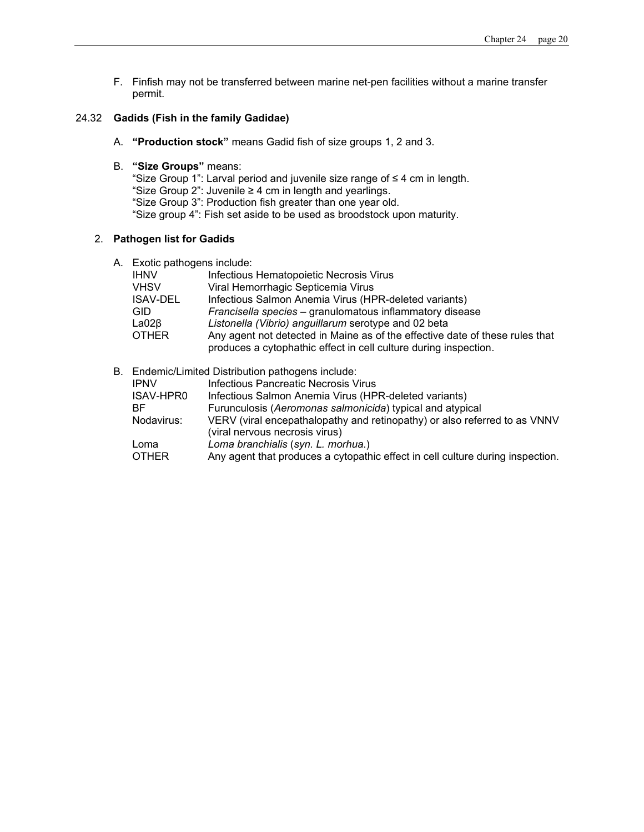F. Finfish may not be transferred between marine net-pen facilities without a marine transfer permit.

# 24.32 **Gadids (Fish in the family Gadidae)**

- A. **"Production stock"** means Gadid fish of size groups 1, 2 and 3.
- B. **"Size Groups"** means:

"Size Group 1": Larval period and juvenile size range of ≤ 4 cm in length. "Size Group 2": Juvenile ≥ 4 cm in length and yearlings. "Size Group 3": Production fish greater than one year old. "Size group 4": Fish set aside to be used as broodstock upon maturity.

# 2. **Pathogen list for Gadids**

A. Exotic pathogens include:

| <b>IHNV</b>     | Infectious Hematopoietic Necrosis Virus                                      |
|-----------------|------------------------------------------------------------------------------|
| <b>VHSV</b>     | Viral Hemorrhagic Septicemia Virus                                           |
| <b>ISAV-DEL</b> | Infectious Salmon Anemia Virus (HPR-deleted variants)                        |
| <b>GID</b>      | Francisella species - granulomatous inflammatory disease                     |
| $LaO2\beta$     | Listonella (Vibrio) anguillarum serotype and 02 beta                         |
| <b>OTHER</b>    | Any agent not detected in Maine as of the effective date of these rules that |
|                 | produces a cytophathic effect in cell culture during inspection.             |

# B. Endemic/Limited Distribution pathogens include:

|              | Ligorito, Limitod Diothodion pathogono inolado.                                |
|--------------|--------------------------------------------------------------------------------|
| <b>IPNV</b>  | Infectious Pancreatic Necrosis Virus                                           |
| ISAV-HPR0    | Infectious Salmon Anemia Virus (HPR-deleted variants)                          |
| BF.          | Furunculosis (Aeromonas salmonicida) typical and atypical                      |
| Nodavirus:   | VERV (viral encepathalopathy and retinopathy) or also referred to as VNNV      |
|              | (viral nervous necrosis virus)                                                 |
| Loma         | Loma branchialis (syn. L. morhua.)                                             |
| <b>OTHER</b> | Any agent that produces a cytopathic effect in cell culture during inspection. |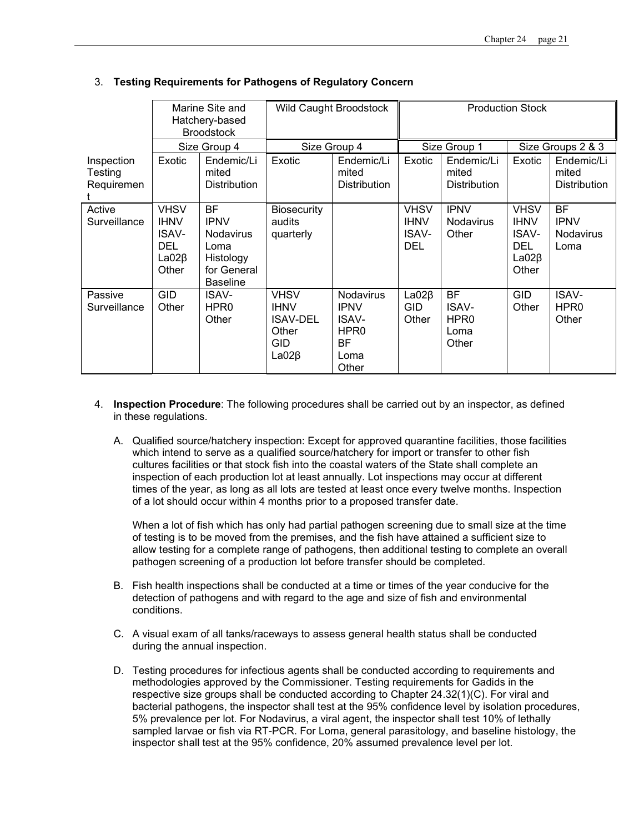|                                     | Marine Site and<br>Hatchery-based<br><b>Broodstock</b>                           |                                                                                                     | <b>Wild Caught Broodstock</b>                                                       |                                                                                            | <b>Production Stock</b>                                  |                                                         |                                                                                  |                                                      |
|-------------------------------------|----------------------------------------------------------------------------------|-----------------------------------------------------------------------------------------------------|-------------------------------------------------------------------------------------|--------------------------------------------------------------------------------------------|----------------------------------------------------------|---------------------------------------------------------|----------------------------------------------------------------------------------|------------------------------------------------------|
|                                     |                                                                                  | Size Group 4                                                                                        | Size Group 4                                                                        |                                                                                            | Size Group 1                                             |                                                         | Size Groups 2 & 3                                                                |                                                      |
| Inspection<br>Testing<br>Requiremen | Exotic                                                                           | Endemic/Li<br>mited<br><b>Distribution</b>                                                          | Exotic                                                                              | Endemic/Li<br>mited<br><b>Distribution</b>                                                 | Exotic                                                   | Endemic/Li<br>mited<br><b>Distribution</b>              | Exotic                                                                           | Endemic/Li<br>mited<br><b>Distribution</b>           |
| Active<br>Surveillance              | <b>VHSV</b><br><b>IHNV</b><br><b>ISAV-</b><br><b>DEL</b><br>$LaO2\beta$<br>Other | <b>BF</b><br><b>IPNV</b><br><b>Nodavirus</b><br>Loma<br>Histology<br>for General<br><b>Baseline</b> | <b>Biosecurity</b><br>audits<br>quarterly                                           |                                                                                            | <b>VHSV</b><br><b>IHNV</b><br><b>ISAV-</b><br><b>DEL</b> | <b>IPNV</b><br>Nodavirus<br>Other                       | <b>VHSV</b><br><b>IHNV</b><br><b>ISAV-</b><br><b>DEL</b><br>$LaO2\beta$<br>Other | <b>BF</b><br><b>IPNV</b><br><b>Nodavirus</b><br>Loma |
| Passive<br>Surveillance             | <b>GID</b><br>Other                                                              | <b>ISAV-</b><br>HPR <sub>0</sub><br>Other                                                           | <b>VHSV</b><br><b>IHNV</b><br><b>ISAV-DEL</b><br>Other<br><b>GID</b><br>$LaO2\beta$ | <b>Nodavirus</b><br><b>IPNV</b><br>ISAV-<br>HPR <sub>0</sub><br><b>BF</b><br>Loma<br>Other | $LaO2\beta$<br><b>GID</b><br>Other                       | <b>BF</b><br>ISAV-<br>HPR <sub>0</sub><br>Loma<br>Other | <b>GID</b><br>Other                                                              | <b>ISAV-</b><br>HPR <sub>0</sub><br>Other            |

# 3. **Testing Requirements for Pathogens of Regulatory Concern**

- 4. **Inspection Procedure**: The following procedures shall be carried out by an inspector, as defined in these regulations.
	- A. Qualified source/hatchery inspection: Except for approved quarantine facilities, those facilities which intend to serve as a qualified source/hatchery for import or transfer to other fish cultures facilities or that stock fish into the coastal waters of the State shall complete an inspection of each production lot at least annually. Lot inspections may occur at different times of the year, as long as all lots are tested at least once every twelve months. Inspection of a lot should occur within 4 months prior to a proposed transfer date.

When a lot of fish which has only had partial pathogen screening due to small size at the time of testing is to be moved from the premises, and the fish have attained a sufficient size to allow testing for a complete range of pathogens, then additional testing to complete an overall pathogen screening of a production lot before transfer should be completed.

- B. Fish health inspections shall be conducted at a time or times of the year conducive for the detection of pathogens and with regard to the age and size of fish and environmental conditions.
- C. A visual exam of all tanks/raceways to assess general health status shall be conducted during the annual inspection.
- D. Testing procedures for infectious agents shall be conducted according to requirements and methodologies approved by the Commissioner. Testing requirements for Gadids in the respective size groups shall be conducted according to Chapter 24.32(1)(C). For viral and bacterial pathogens, the inspector shall test at the 95% confidence level by isolation procedures, 5% prevalence per lot. For Nodavirus, a viral agent, the inspector shall test 10% of lethally sampled larvae or fish via RT-PCR. For Loma, general parasitology, and baseline histology, the inspector shall test at the 95% confidence, 20% assumed prevalence level per lot.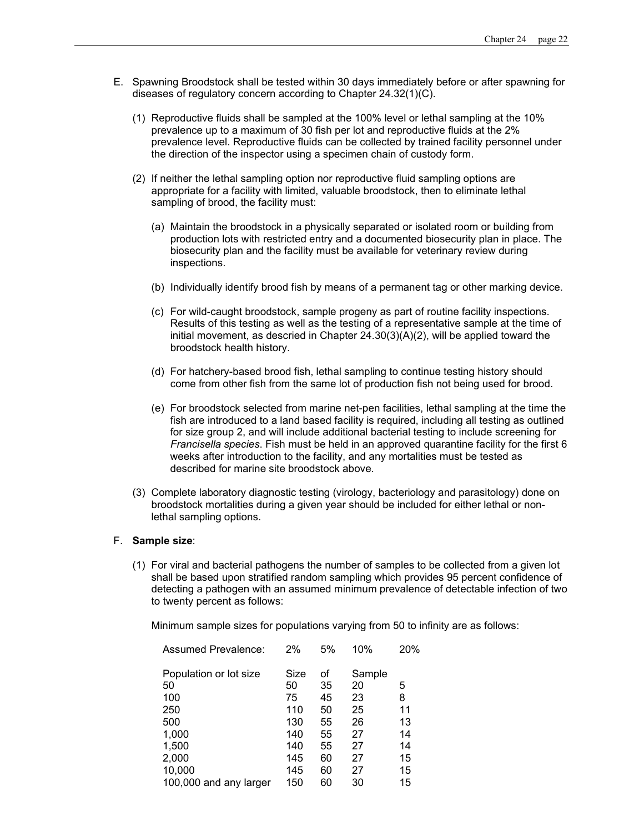- E. Spawning Broodstock shall be tested within 30 days immediately before or after spawning for diseases of regulatory concern according to Chapter 24.32(1)(C).
	- (1) Reproductive fluids shall be sampled at the 100% level or lethal sampling at the 10% prevalence up to a maximum of 30 fish per lot and reproductive fluids at the 2% prevalence level. Reproductive fluids can be collected by trained facility personnel under the direction of the inspector using a specimen chain of custody form.
	- (2) If neither the lethal sampling option nor reproductive fluid sampling options are appropriate for a facility with limited, valuable broodstock, then to eliminate lethal sampling of brood, the facility must:
		- (a) Maintain the broodstock in a physically separated or isolated room or building from production lots with restricted entry and a documented biosecurity plan in place. The biosecurity plan and the facility must be available for veterinary review during inspections.
		- (b) Individually identify brood fish by means of a permanent tag or other marking device.
		- (c) For wild-caught broodstock, sample progeny as part of routine facility inspections. Results of this testing as well as the testing of a representative sample at the time of initial movement, as descried in Chapter  $24.30(3)(A)(2)$ , will be applied toward the broodstock health history.
		- (d) For hatchery-based brood fish, lethal sampling to continue testing history should come from other fish from the same lot of production fish not being used for brood.
		- (e) For broodstock selected from marine net-pen facilities, lethal sampling at the time the fish are introduced to a land based facility is required, including all testing as outlined for size group 2, and will include additional bacterial testing to include screening for *Francisella species*. Fish must be held in an approved quarantine facility for the first 6 weeks after introduction to the facility, and any mortalities must be tested as described for marine site broodstock above.
	- (3) Complete laboratory diagnostic testing (virology, bacteriology and parasitology) done on broodstock mortalities during a given year should be included for either lethal or nonlethal sampling options.

#### F. **Sample size**:

(1) For viral and bacterial pathogens the number of samples to be collected from a given lot shall be based upon stratified random sampling which provides 95 percent confidence of detecting a pathogen with an assumed minimum prevalence of detectable infection of two to twenty percent as follows:

Minimum sample sizes for populations varying from 50 to infinity are as follows:

| Assumed Prevalence:    | 2%   | 5% | 10%    | 20% |
|------------------------|------|----|--------|-----|
| Population or lot size | Size | of | Sample |     |
| 50                     | 50   | 35 | 20     | 5   |
| 100                    | 75   | 45 | 23     | 8   |
| 250                    | 110  | 50 | 25     | 11  |
| 500                    | 130  | 55 | 26     | 13  |
| 1,000                  | 140  | 55 | 27     | 14  |
| 1,500                  | 140  | 55 | 27     | 14  |
| 2,000                  | 145  | 60 | 27     | 15  |
| 10,000                 | 145  | 60 | 27     | 15  |
| 100,000 and any larger | 150  | 60 | 30     | 15  |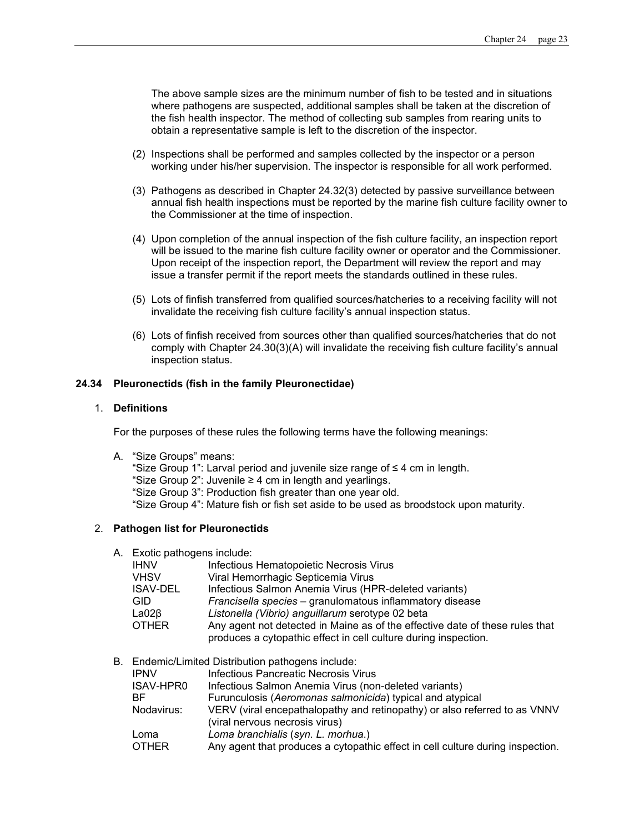The above sample sizes are the minimum number of fish to be tested and in situations where pathogens are suspected, additional samples shall be taken at the discretion of the fish health inspector. The method of collecting sub samples from rearing units to obtain a representative sample is left to the discretion of the inspector.

- (2) Inspections shall be performed and samples collected by the inspector or a person working under his/her supervision. The inspector is responsible for all work performed.
- (3) Pathogens as described in Chapter 24.32(3) detected by passive surveillance between annual fish health inspections must be reported by the marine fish culture facility owner to the Commissioner at the time of inspection.
- (4) Upon completion of the annual inspection of the fish culture facility, an inspection report will be issued to the marine fish culture facility owner or operator and the Commissioner*.*  Upon receipt of the inspection report, the Department will review the report and may issue a transfer permit if the report meets the standards outlined in these rules.
- (5) Lots of finfish transferred from qualified sources/hatcheries to a receiving facility will not invalidate the receiving fish culture facility's annual inspection status.
- (6) Lots of finfish received from sources other than qualified sources/hatcheries that do not comply with Chapter 24.30(3)(A) will invalidate the receiving fish culture facility's annual inspection status.

# **24.34 Pleuronectids (fish in the family Pleuronectidae)**

#### 1. **Definitions**

For the purposes of these rules the following terms have the following meanings:

A. "Size Groups" means:

"Size Group 1": Larval period and juvenile size range of ≤ 4 cm in length. "Size Group  $2$ ": Juvenile  $\geq 4$  cm in length and yearlings. "Size Group 3": Production fish greater than one year old. "Size Group 4": Mature fish or fish set aside to be used as broodstock upon maturity.

#### 2. **Pathogen list for Pleuronectids**

A. Exotic pathogens include:

| <b>IHNV</b>     | Infectious Hematopoietic Necrosis Virus                                                                                                         |
|-----------------|-------------------------------------------------------------------------------------------------------------------------------------------------|
| <b>VHSV</b>     | Viral Hemorrhagic Septicemia Virus                                                                                                              |
| <b>ISAV-DEL</b> | Infectious Salmon Anemia Virus (HPR-deleted variants)                                                                                           |
| <b>GID</b>      | Francisella species - granulomatous inflammatory disease                                                                                        |
| $LaO2\beta$     | Listonella (Vibrio) anguillarum serotype 02 beta                                                                                                |
| <b>OTHER</b>    | Any agent not detected in Maine as of the effective date of these rules that<br>produces a cytopathic effect in cell culture during inspection. |
|                 |                                                                                                                                                 |

B. Endemic/Limited Distribution pathogens include:

| <b>IPNV</b>  | Infectious Pancreatic Necrosis Virus                                           |
|--------------|--------------------------------------------------------------------------------|
| ISAV-HPR0    | Infectious Salmon Anemia Virus (non-deleted variants)                          |
| BF.          | Furunculosis (Aeromonas salmonicida) typical and atypical                      |
| Nodavirus:   | VERV (viral encepathalopathy and retinopathy) or also referred to as VNNV      |
|              | (viral nervous necrosis virus)                                                 |
| Loma         | Loma branchialis (syn. L. morhua.)                                             |
| <b>OTHER</b> | Any agent that produces a cytopathic effect in cell culture during inspection. |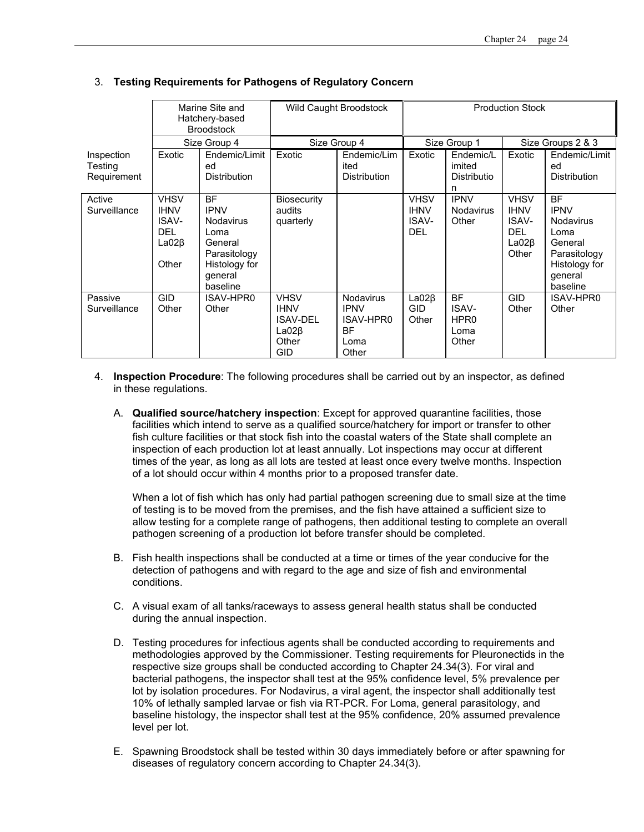|                                      | Marine Site and<br>Hatchery-based<br><b>Broodstock</b>                    |                                                                                                                         | Wild Caught Broodstock                                                       |                                                                                   | <b>Production Stock</b>                           |                                                                |                                                                           |                                                                                                                         |
|--------------------------------------|---------------------------------------------------------------------------|-------------------------------------------------------------------------------------------------------------------------|------------------------------------------------------------------------------|-----------------------------------------------------------------------------------|---------------------------------------------------|----------------------------------------------------------------|---------------------------------------------------------------------------|-------------------------------------------------------------------------------------------------------------------------|
|                                      |                                                                           | Size Group 4                                                                                                            | Size Group 4                                                                 |                                                                                   | Size Group 1                                      |                                                                | Size Groups 2 & 3                                                         |                                                                                                                         |
| Inspection<br>Testing<br>Requirement | Exotic                                                                    | Endemic/Limit<br>ed<br><b>Distribution</b>                                                                              | Exotic                                                                       | Endemic/Lim<br>ited<br><b>Distribution</b>                                        | Exotic                                            | Endemic/L<br>imited<br>Distributio<br>n.                       | Exotic                                                                    | Endemic/Limit<br>ed<br><b>Distribution</b>                                                                              |
| Active<br>Surveillance               | <b>VHSV</b><br><b>IHNV</b><br>ISAV-<br><b>DEL</b><br>$LaO2\beta$<br>Other | <b>BF</b><br><b>IPNV</b><br><b>Nodavirus</b><br>Loma<br>General<br>Parasitology<br>Histology for<br>general<br>baseline | <b>Biosecurity</b><br>audits<br>quarterly                                    |                                                                                   | <b>VHSV</b><br><b>IHNV</b><br>ISAV-<br><b>DEL</b> | <b>IPNV</b><br><b>Nodavirus</b><br>Other                       | <b>VHSV</b><br><b>IHNV</b><br>ISAV-<br><b>DEL</b><br>$LaO2\beta$<br>Other | <b>BF</b><br><b>IPNV</b><br><b>Nodavirus</b><br>Loma<br>General<br>Parasitology<br>Histology for<br>general<br>baseline |
| Passive<br>Surveillance              | <b>GID</b><br>Other                                                       | ISAV-HPR0<br>Other                                                                                                      | <b>VHSV</b><br><b>IHNV</b><br><b>ISAV-DEL</b><br>$LaO2\beta$<br>Other<br>GID | <b>Nodavirus</b><br><b>IPNV</b><br><b>ISAV-HPR0</b><br><b>BF</b><br>Loma<br>Other | $LaO2\beta$<br><b>GID</b><br>Other                | <b>BF</b><br><b>ISAV-</b><br>HPR <sub>0</sub><br>Loma<br>Other | GID<br>Other                                                              | ISAV-HPR0<br>Other                                                                                                      |

# 3. **Testing Requirements for Pathogens of Regulatory Concern**

- 4. **Inspection Procedure**: The following procedures shall be carried out by an inspector, as defined in these regulations.
	- A. **Qualified source/hatchery inspection**: Except for approved quarantine facilities, those facilities which intend to serve as a qualified source/hatchery for import or transfer to other fish culture facilities or that stock fish into the coastal waters of the State shall complete an inspection of each production lot at least annually. Lot inspections may occur at different times of the year, as long as all lots are tested at least once every twelve months. Inspection of a lot should occur within 4 months prior to a proposed transfer date.

When a lot of fish which has only had partial pathogen screening due to small size at the time of testing is to be moved from the premises, and the fish have attained a sufficient size to allow testing for a complete range of pathogens, then additional testing to complete an overall pathogen screening of a production lot before transfer should be completed.

- B. Fish health inspections shall be conducted at a time or times of the year conducive for the detection of pathogens and with regard to the age and size of fish and environmental conditions.
- C. A visual exam of all tanks/raceways to assess general health status shall be conducted during the annual inspection.
- D. Testing procedures for infectious agents shall be conducted according to requirements and methodologies approved by the Commissioner. Testing requirements for Pleuronectids in the respective size groups shall be conducted according to Chapter 24.34(3). For viral and bacterial pathogens, the inspector shall test at the 95% confidence level, 5% prevalence per lot by isolation procedures. For Nodavirus, a viral agent, the inspector shall additionally test 10% of lethally sampled larvae or fish via RT-PCR. For Loma, general parasitology, and baseline histology, the inspector shall test at the 95% confidence, 20% assumed prevalence level per lot.
- E. Spawning Broodstock shall be tested within 30 days immediately before or after spawning for diseases of regulatory concern according to Chapter 24.34(3).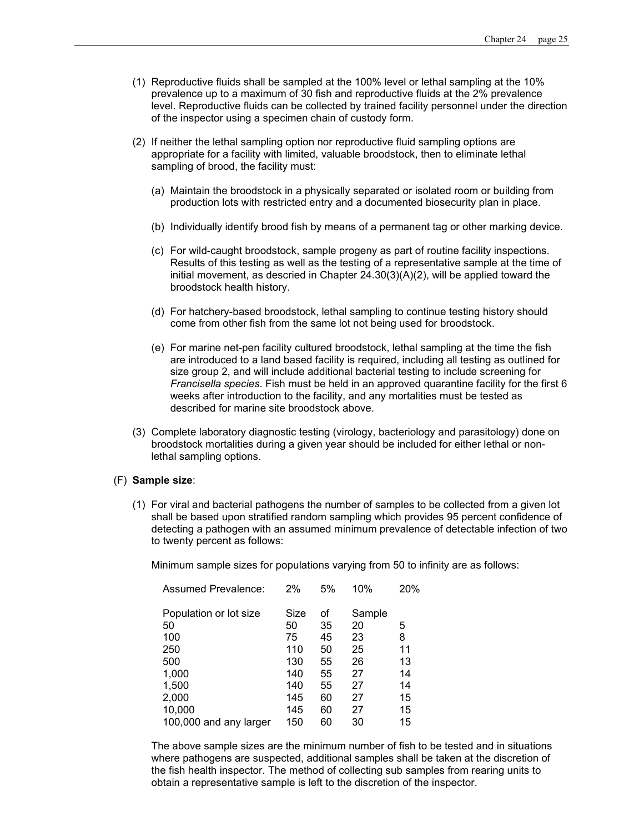- (1) Reproductive fluids shall be sampled at the 100% level or lethal sampling at the 10% prevalence up to a maximum of 30 fish and reproductive fluids at the 2% prevalence level. Reproductive fluids can be collected by trained facility personnel under the direction of the inspector using a specimen chain of custody form.
- (2) If neither the lethal sampling option nor reproductive fluid sampling options are appropriate for a facility with limited, valuable broodstock, then to eliminate lethal sampling of brood, the facility must:
	- (a) Maintain the broodstock in a physically separated or isolated room or building from production lots with restricted entry and a documented biosecurity plan in place.
	- (b) Individually identify brood fish by means of a permanent tag or other marking device.
	- (c) For wild-caught broodstock, sample progeny as part of routine facility inspections. Results of this testing as well as the testing of a representative sample at the time of initial movement, as descried in Chapter 24.30(3)(A)(2), will be applied toward the broodstock health history.
	- (d) For hatchery-based broodstock, lethal sampling to continue testing history should come from other fish from the same lot not being used for broodstock.
	- (e) For marine net-pen facility cultured broodstock, lethal sampling at the time the fish are introduced to a land based facility is required, including all testing as outlined for size group 2, and will include additional bacterial testing to include screening for *Francisella species*. Fish must be held in an approved quarantine facility for the first 6 weeks after introduction to the facility, and any mortalities must be tested as described for marine site broodstock above.
- (3) Complete laboratory diagnostic testing (virology, bacteriology and parasitology) done on broodstock mortalities during a given year should be included for either lethal or nonlethal sampling options.

# (F) **Sample size**:

(1) For viral and bacterial pathogens the number of samples to be collected from a given lot shall be based upon stratified random sampling which provides 95 percent confidence of detecting a pathogen with an assumed minimum prevalence of detectable infection of two to twenty percent as follows:

Minimum sample sizes for populations varying from 50 to infinity are as follows:

| Assumed Prevalence:    | 2%   | 5% | 10%    | 20% |
|------------------------|------|----|--------|-----|
| Population or lot size | Size | of | Sample |     |
| 50                     | 50   | 35 | 20     | 5   |
| 100                    | 75   | 45 | 23     | 8   |
| 250                    | 110  | 50 | 25     | 11  |
| 500                    | 130  | 55 | 26     | 13  |
| 1,000                  | 140  | 55 | 27     | 14  |
| 1,500                  | 140  | 55 | 27     | 14  |
| 2,000                  | 145  | 60 | 27     | 15  |
| 10,000                 | 145  | 60 | 27     | 15  |
| 100,000 and any larger | 150  | 60 | 30     | 15  |

The above sample sizes are the minimum number of fish to be tested and in situations where pathogens are suspected, additional samples shall be taken at the discretion of the fish health inspector. The method of collecting sub samples from rearing units to obtain a representative sample is left to the discretion of the inspector.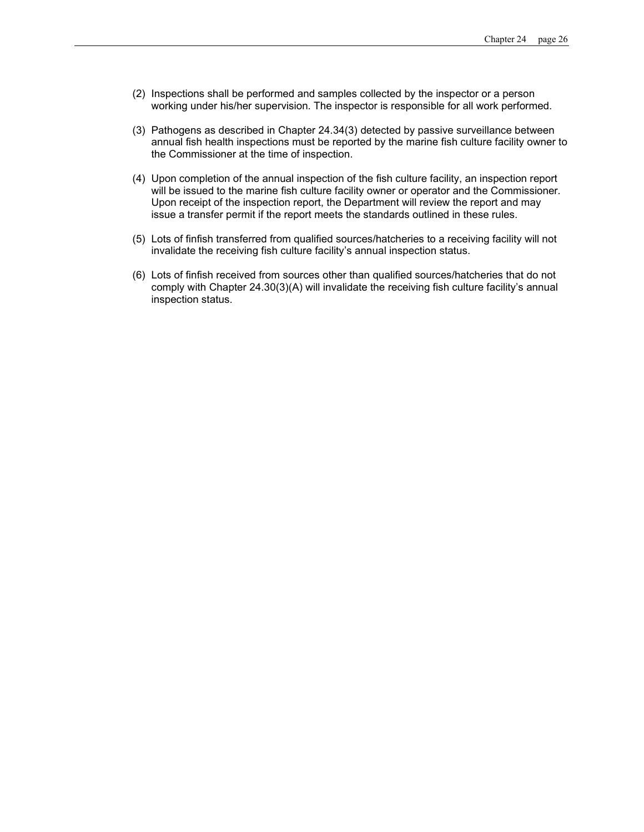- (2) Inspections shall be performed and samples collected by the inspector or a person working under his/her supervision. The inspector is responsible for all work performed.
- (3) Pathogens as described in Chapter 24.34(3) detected by passive surveillance between annual fish health inspections must be reported by the marine fish culture facility owner to the Commissioner at the time of inspection.
- (4) Upon completion of the annual inspection of the fish culture facility, an inspection report will be issued to the marine fish culture facility owner or operator and the Commissioner*.*  Upon receipt of the inspection report, the Department will review the report and may issue a transfer permit if the report meets the standards outlined in these rules.
- (5) Lots of finfish transferred from qualified sources/hatcheries to a receiving facility will not invalidate the receiving fish culture facility's annual inspection status.
- (6) Lots of finfish received from sources other than qualified sources/hatcheries that do not comply with Chapter 24.30(3)(A) will invalidate the receiving fish culture facility's annual inspection status.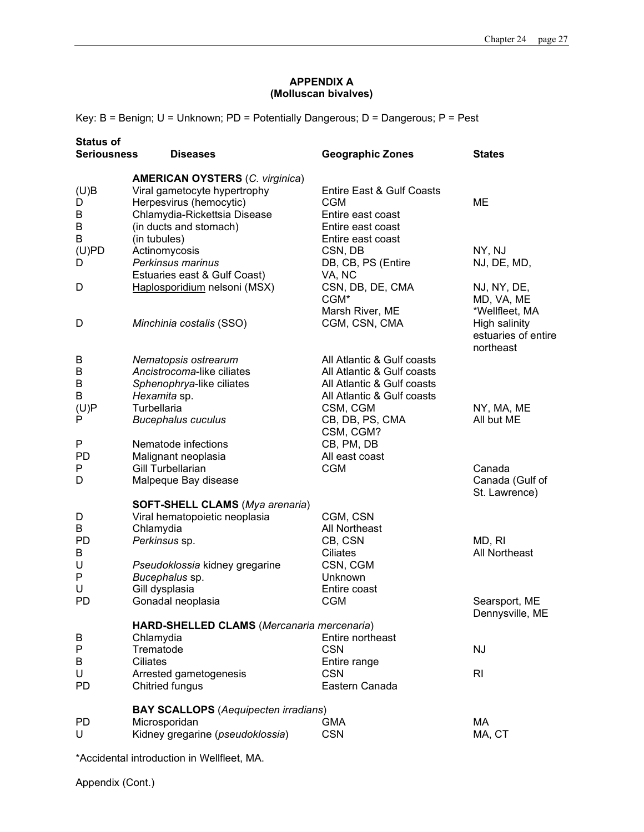# **APPENDIX A (Molluscan bivalves)**

Key: B = Benign; U = Unknown; PD = Potentially Dangerous; D = Dangerous; P = Pest

| <b>Seriousness</b><br><b>Diseases</b>                                                                                                                       | <b>Geographic Zones</b>                                                                            | <b>States</b>                                                                                                                                                                                                                         |
|-------------------------------------------------------------------------------------------------------------------------------------------------------------|----------------------------------------------------------------------------------------------------|---------------------------------------------------------------------------------------------------------------------------------------------------------------------------------------------------------------------------------------|
| <b>AMERICAN OYSTERS (C. virginica)</b><br>Viral gametocyte hypertrophy<br>Herpesvirus (hemocytic)<br>Chlamydia-Rickettsia Disease<br>(in ducts and stomach) | Entire East & Gulf Coasts<br><b>CGM</b><br>Entire east coast<br>Entire east coast                  | ME                                                                                                                                                                                                                                    |
| Actinomycosis<br>Perkinsus marinus<br>Estuaries east & Gulf Coast)                                                                                          | CSN, DB<br>DB, CB, PS (Entire<br>VA, NC                                                            | NY, NJ<br>NJ, DE, MD,                                                                                                                                                                                                                 |
| Haplosporidium nelsoni (MSX)                                                                                                                                | CSN, DB, DE, CMA<br>CGM <sup>*</sup><br>Marsh River, ME                                            | NJ, NY, DE,<br>MD, VA, ME<br>*Wellfleet, MA<br>High salinity                                                                                                                                                                          |
|                                                                                                                                                             |                                                                                                    | estuaries of entire<br>northeast                                                                                                                                                                                                      |
| Nematopsis ostrearum<br>Ancistrocoma-like ciliates<br>Sphenophrya-like ciliates                                                                             | All Atlantic & Gulf coasts<br>All Atlantic & Gulf coasts                                           |                                                                                                                                                                                                                                       |
| Turbellaria<br><b>Bucephalus cuculus</b>                                                                                                                    | CSM, CGM<br>CB, DB, PS, CMA<br>CSM, CGM?                                                           | NY, MA, ME<br>All but ME                                                                                                                                                                                                              |
| Malignant neoplasia<br>Gill Turbellarian<br>Malpeque Bay disease                                                                                            | All east coast<br><b>CGM</b>                                                                       | Canada<br>Canada (Gulf of<br>St. Lawrence)                                                                                                                                                                                            |
| <b>SOFT-SHELL CLAMS (Mya arenaria)</b><br>Viral hematopoietic neoplasia<br>Chlamydia<br>Perkinsus sp.                                                       | CGM, CSN<br>All Northeast<br>CB, CSN                                                               | MD, RI<br><b>All Northeast</b>                                                                                                                                                                                                        |
| Pseudoklossia kidney gregarine<br>Bucephalus sp.<br>Gill dysplasia<br>Gonadal neoplasia                                                                     | CSN, CGM<br>Unknown<br>Entire coast<br><b>CGM</b>                                                  | Searsport, ME<br>Dennysville, ME                                                                                                                                                                                                      |
| Chlamydia<br>Trematode                                                                                                                                      | Entire northeast<br><b>CSN</b>                                                                     | <b>NJ</b>                                                                                                                                                                                                                             |
| Arrested gametogenesis<br>Chitried fungus                                                                                                                   | <b>CSN</b><br>Eastern Canada                                                                       | R <sub>l</sub>                                                                                                                                                                                                                        |
| Microsporidan<br>Kidney gregarine (pseudoklossia)                                                                                                           | <b>GMA</b><br><b>CSN</b>                                                                           | МA<br>MA, CT                                                                                                                                                                                                                          |
|                                                                                                                                                             | (in tubules)<br>Minchinia costalis (SSO)<br>Hexamita sp.<br>Nematode infections<br><b>Ciliates</b> | Entire east coast<br>CGM, CSN, CMA<br>All Atlantic & Gulf coasts<br>All Atlantic & Gulf coasts<br>CB, PM, DB<br>Ciliates<br>HARD-SHELLED CLAMS (Mercanaria mercenaria)<br>Entire range<br><b>BAY SCALLOPS</b> (Aequipecten irradians) |

\*Accidental introduction in Wellfleet, MA.

Appendix (Cont.)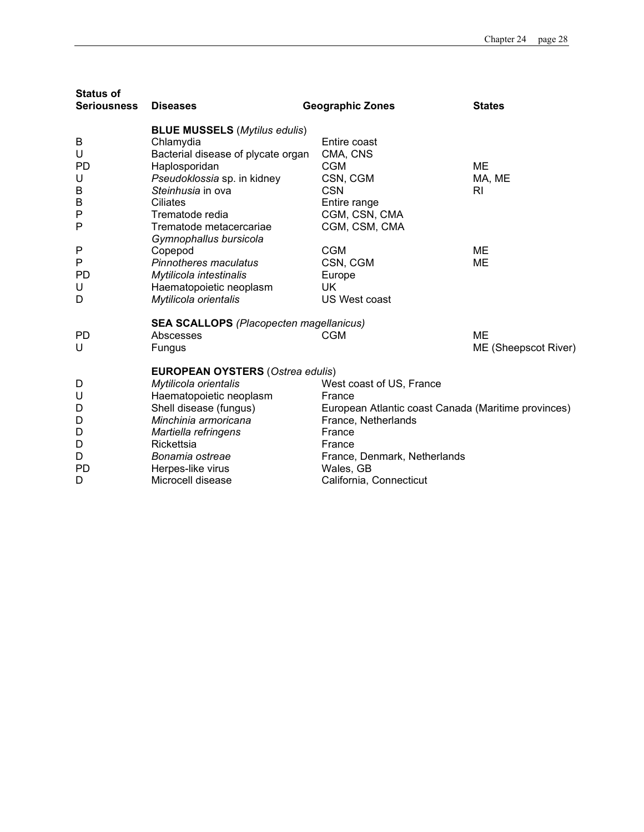| <b>Status of</b><br><b>Seriousness</b> | <b>Diseases</b>                                  | <b>Geographic Zones</b>                             | <b>States</b>        |
|----------------------------------------|--------------------------------------------------|-----------------------------------------------------|----------------------|
|                                        | <b>BLUE MUSSELS (Mytilus edulis)</b>             |                                                     |                      |
| B                                      | Chlamydia                                        | Entire coast                                        |                      |
| U                                      | Bacterial disease of plycate organ               | CMA, CNS                                            |                      |
| <b>PD</b>                              | Haplosporidan                                    | <b>CGM</b>                                          | ME                   |
| U                                      | Pseudoklossia sp. in kidney<br>Steinhusia in ova | CSN, CGM<br><b>CSN</b>                              | MA, ME<br>RI         |
| B<br>B                                 | Ciliates                                         | Entire range                                        |                      |
| P                                      | Trematode redia                                  | CGM, CSN, CMA                                       |                      |
| P                                      | Trematode metacercariae                          | CGM, CSM, CMA                                       |                      |
|                                        | Gymnophallus bursicola                           |                                                     |                      |
| P                                      | Copepod                                          | <b>CGM</b>                                          | ME                   |
| P                                      | Pinnotheres maculatus                            | CSN, CGM                                            | ME                   |
| <b>PD</b>                              | Mytilicola intestinalis                          | Europe                                              |                      |
| U                                      | Haematopoietic neoplasm                          | UK.                                                 |                      |
| D                                      | Mytilicola orientalis                            | US West coast                                       |                      |
|                                        | <b>SEA SCALLOPS (Placopecten magellanicus)</b>   |                                                     |                      |
| PD.                                    | Abscesses                                        | <b>CGM</b>                                          | ME                   |
| U                                      | Fungus                                           |                                                     | ME (Sheepscot River) |
|                                        | <b>EUROPEAN OYSTERS (Ostrea edulis)</b>          |                                                     |                      |
| D                                      | Mytilicola orientalis                            | West coast of US, France                            |                      |
| U                                      | Haematopoietic neoplasm                          | France                                              |                      |
| D                                      | Shell disease (fungus)                           | European Atlantic coast Canada (Maritime provinces) |                      |
| D                                      | Minchinia armoricana                             | France, Netherlands                                 |                      |
| D                                      | Martiella refringens                             | France                                              |                      |
| D                                      | Rickettsia                                       | France                                              |                      |
| D                                      | Bonamia ostreae                                  | France, Denmark, Netherlands                        |                      |
| PD.                                    | Herpes-like virus                                | Wales, GB                                           |                      |
| D                                      | Microcell disease                                | California, Connecticut                             |                      |